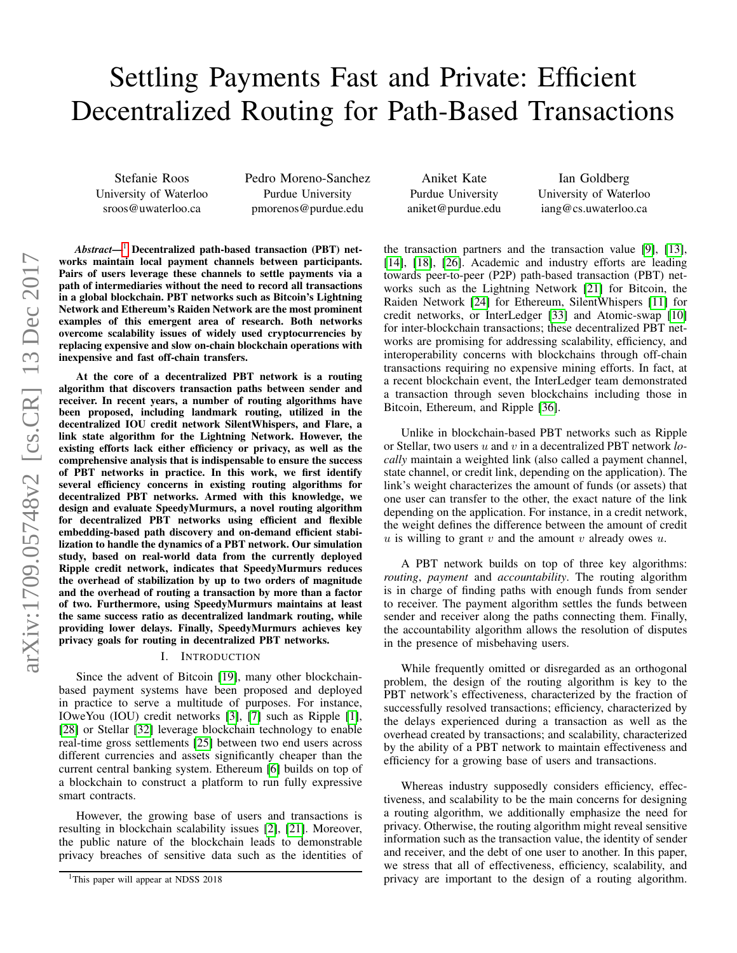# Settling Payments Fast and Private: Efficient Decentralized Routing for Path-Based Transactions

Stefanie Roos University of Waterloo sroos@uwaterloo.ca

Pedro Moreno-Sanchez Purdue University pmorenos@purdue.edu

Aniket Kate Purdue University aniket@purdue.edu

Ian Goldberg University of Waterloo iang@cs.uwaterloo.ca

the transaction partners and the transaction value [\[9\]](#page-14-10), [\[13\]](#page-14-11), [\[14\]](#page-14-12), [\[18\]](#page-14-13), [\[26\]](#page-14-14). Academic and industry efforts are leading towards peer-to-peer (P2P) path-based transaction (PBT) networks such as the Lightning Network [\[21\]](#page-14-9) for Bitcoin, the Raiden Network [\[24\]](#page-14-15) for Ethereum, SilentWhispers [\[11\]](#page-14-16) for credit networks, or InterLedger [\[33\]](#page-14-17) and Atomic-swap [\[10\]](#page-14-18) for inter-blockchain transactions; these decentralized PBT networks are promising for addressing scalability, efficiency, and interoperability concerns with blockchains through off-chain transactions requiring no expensive mining efforts. In fact, at a recent blockchain event, the InterLedger team demonstrated a transaction through seven blockchains including those in Bitcoin, Ethereum, and Ripple [\[36\]](#page-14-19).

Unlike in blockchain-based PBT networks such as Ripple or Stellar, two users u and v in a decentralized PBT network *locally* maintain a weighted link (also called a payment channel, state channel, or credit link, depending on the application). The link's weight characterizes the amount of funds (or assets) that one user can transfer to the other, the exact nature of the link depending on the application. For instance, in a credit network, the weight defines the difference between the amount of credit u is willing to grant  $v$  and the amount  $v$  already owes  $u$ .

A PBT network builds on top of three key algorithms: *routing*, *payment* and *accountability*. The routing algorithm is in charge of finding paths with enough funds from sender to receiver. The payment algorithm settles the funds between sender and receiver along the paths connecting them. Finally, the accountability algorithm allows the resolution of disputes in the presence of misbehaving users.

While frequently omitted or disregarded as an orthogonal problem, the design of the routing algorithm is key to the PBT network's effectiveness, characterized by the fraction of successfully resolved transactions; efficiency, characterized by the delays experienced during a transaction as well as the overhead created by transactions; and scalability, characterized by the ability of a PBT network to maintain effectiveness and efficiency for a growing base of users and transactions.

Whereas industry supposedly considers efficiency, effectiveness, and scalability to be the main concerns for designing a routing algorithm, we additionally emphasize the need for privacy. Otherwise, the routing algorithm might reveal sensitive information such as the transaction value, the identity of sender and receiver, and the debt of one user to another. In this paper, we stress that all of effectiveness, efficiency, scalability, and privacy are important to the design of a routing algorithm.

*Abstract*—[1](#page-0-0) Decentralized path-based transaction (PBT) networks maintain local payment channels between participants. Pairs of users leverage these channels to settle payments via a path of intermediaries without the need to record all transactions in a global blockchain. PBT networks such as Bitcoin's Lightning Network and Ethereum's Raiden Network are the most prominent examples of this emergent area of research. Both networks overcome scalability issues of widely used cryptocurrencies by replacing expensive and slow on-chain blockchain operations with inexpensive and fast off-chain transfers.

At the core of a decentralized PBT network is a routing algorithm that discovers transaction paths between sender and receiver. In recent years, a number of routing algorithms have been proposed, including landmark routing, utilized in the decentralized IOU credit network SilentWhispers, and Flare, a link state algorithm for the Lightning Network. However, the existing efforts lack either efficiency or privacy, as well as the comprehensive analysis that is indispensable to ensure the success of PBT networks in practice. In this work, we first identify several efficiency concerns in existing routing algorithms for decentralized PBT networks. Armed with this knowledge, we design and evaluate SpeedyMurmurs, a novel routing algorithm for decentralized PBT networks using efficient and flexible embedding-based path discovery and on-demand efficient stabilization to handle the dynamics of a PBT network. Our simulation study, based on real-world data from the currently deployed Ripple credit network, indicates that SpeedyMurmurs reduces the overhead of stabilization by up to two orders of magnitude and the overhead of routing a transaction by more than a factor of two. Furthermore, using SpeedyMurmurs maintains at least the same success ratio as decentralized landmark routing, while providing lower delays. Finally, SpeedyMurmurs achieves key privacy goals for routing in decentralized PBT networks.

## I. INTRODUCTION

Since the advent of Bitcoin [\[19\]](#page-14-0), many other blockchainbased payment systems have been proposed and deployed in practice to serve a multitude of purposes. For instance, IOweYou (IOU) credit networks [\[3\]](#page-14-1), [\[7\]](#page-14-2) such as Ripple [\[1\]](#page-14-3), [\[28\]](#page-14-4) or Stellar [\[32\]](#page-14-5) leverage blockchain technology to enable real-time gross settlements [\[25\]](#page-14-6) between two end users across different currencies and assets significantly cheaper than the current central banking system. Ethereum [\[6\]](#page-14-7) builds on top of a blockchain to construct a platform to run fully expressive smart contracts.

However, the growing base of users and transactions is resulting in blockchain scalability issues [\[2\]](#page-14-8), [\[21\]](#page-14-9). Moreover, the public nature of the blockchain leads to demonstrable privacy breaches of sensitive data such as the identities of

<span id="page-0-0"></span><sup>&</sup>lt;sup>1</sup>This paper will appear at NDSS 2018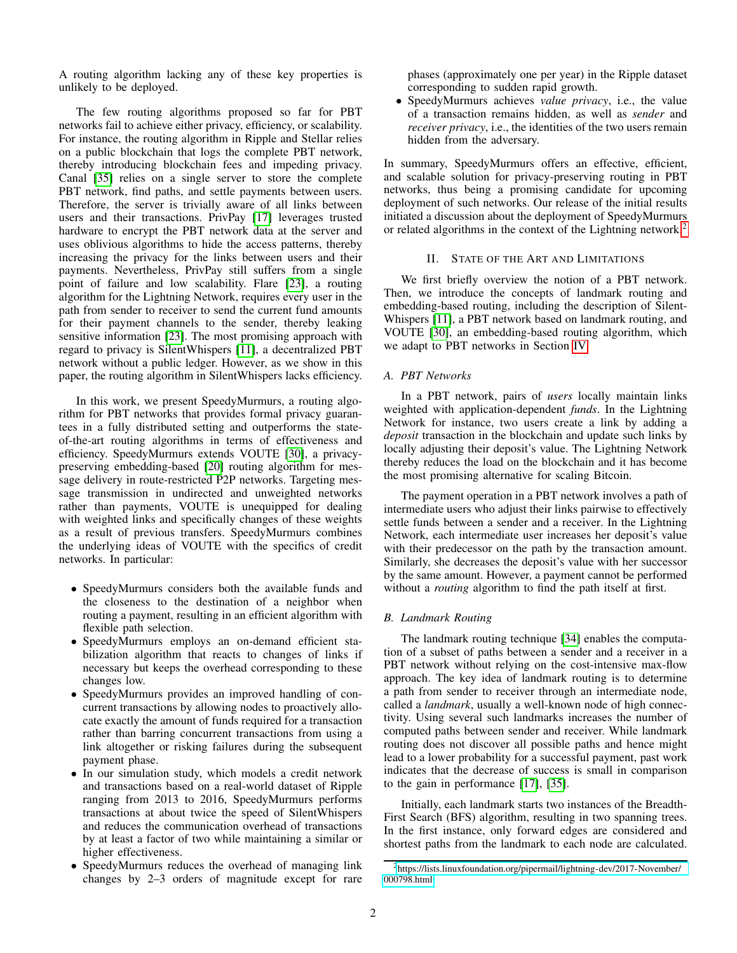A routing algorithm lacking any of these key properties is unlikely to be deployed.

The few routing algorithms proposed so far for PBT networks fail to achieve either privacy, efficiency, or scalability. For instance, the routing algorithm in Ripple and Stellar relies on a public blockchain that logs the complete PBT network, thereby introducing blockchain fees and impeding privacy. Canal [\[35\]](#page-14-20) relies on a single server to store the complete PBT network, find paths, and settle payments between users. Therefore, the server is trivially aware of all links between users and their transactions. PrivPay [\[17\]](#page-14-21) leverages trusted hardware to encrypt the PBT network data at the server and uses oblivious algorithms to hide the access patterns, thereby increasing the privacy for the links between users and their payments. Nevertheless, PrivPay still suffers from a single point of failure and low scalability. Flare [\[23\]](#page-14-22), a routing algorithm for the Lightning Network, requires every user in the path from sender to receiver to send the current fund amounts for their payment channels to the sender, thereby leaking sensitive information [\[23\]](#page-14-22). The most promising approach with regard to privacy is SilentWhispers [\[11\]](#page-14-16), a decentralized PBT network without a public ledger. However, as we show in this paper, the routing algorithm in SilentWhispers lacks efficiency.

In this work, we present SpeedyMurmurs, a routing algorithm for PBT networks that provides formal privacy guarantees in a fully distributed setting and outperforms the stateof-the-art routing algorithms in terms of effectiveness and efficiency. SpeedyMurmurs extends VOUTE [\[30\]](#page-14-23), a privacypreserving embedding-based [\[20\]](#page-14-24) routing algorithm for message delivery in route-restricted P2P networks. Targeting message transmission in undirected and unweighted networks rather than payments, VOUTE is unequipped for dealing with weighted links and specifically changes of these weights as a result of previous transfers. SpeedyMurmurs combines the underlying ideas of VOUTE with the specifics of credit networks. In particular:

- SpeedyMurmurs considers both the available funds and the closeness to the destination of a neighbor when routing a payment, resulting in an efficient algorithm with flexible path selection.
- SpeedyMurmurs employs an on-demand efficient stabilization algorithm that reacts to changes of links if necessary but keeps the overhead corresponding to these changes low.
- SpeedyMurmurs provides an improved handling of concurrent transactions by allowing nodes to proactively allocate exactly the amount of funds required for a transaction rather than barring concurrent transactions from using a link altogether or risking failures during the subsequent payment phase.
- In our simulation study, which models a credit network and transactions based on a real-world dataset of Ripple ranging from 2013 to 2016, SpeedyMurmurs performs transactions at about twice the speed of SilentWhispers and reduces the communication overhead of transactions by at least a factor of two while maintaining a similar or higher effectiveness.
- SpeedyMurmurs reduces the overhead of managing link changes by 2–3 orders of magnitude except for rare

phases (approximately one per year) in the Ripple dataset corresponding to sudden rapid growth.

• SpeedyMurmurs achieves *value privacy*, i.e., the value of a transaction remains hidden, as well as *sender* and *receiver privacy*, i.e., the identities of the two users remain hidden from the adversary.

In summary, SpeedyMurmurs offers an effective, efficient, and scalable solution for privacy-preserving routing in PBT networks, thus being a promising candidate for upcoming deployment of such networks. Our release of the initial results initiated a discussion about the deployment of SpeedyMurmurs or related algorithms in the context of the Lightning network.[2](#page-1-0)

# II. STATE OF THE ART AND LIMITATIONS

<span id="page-1-1"></span>We first briefly overview the notion of a PBT network. Then, we introduce the concepts of landmark routing and embedding-based routing, including the description of Silent-Whispers [\[11\]](#page-14-16), a PBT network based on landmark routing, and VOUTE [\[30\]](#page-14-23), an embedding-based routing algorithm, which we adapt to PBT networks in Section [IV.](#page-5-0)

# *A. PBT Networks*

In a PBT network, pairs of *users* locally maintain links weighted with application-dependent *funds*. In the Lightning Network for instance, two users create a link by adding a *deposit* transaction in the blockchain and update such links by locally adjusting their deposit's value. The Lightning Network thereby reduces the load on the blockchain and it has become the most promising alternative for scaling Bitcoin.

The payment operation in a PBT network involves a path of intermediate users who adjust their links pairwise to effectively settle funds between a sender and a receiver. In the Lightning Network, each intermediate user increases her deposit's value with their predecessor on the path by the transaction amount. Similarly, she decreases the deposit's value with her successor by the same amount. However, a payment cannot be performed without a *routing* algorithm to find the path itself at first.

# *B. Landmark Routing*

The landmark routing technique [\[34\]](#page-14-25) enables the computation of a subset of paths between a sender and a receiver in a PBT network without relying on the cost-intensive max-flow approach. The key idea of landmark routing is to determine a path from sender to receiver through an intermediate node, called a *landmark*, usually a well-known node of high connectivity. Using several such landmarks increases the number of computed paths between sender and receiver. While landmark routing does not discover all possible paths and hence might lead to a lower probability for a successful payment, past work indicates that the decrease of success is small in comparison to the gain in performance [\[17\]](#page-14-21), [\[35\]](#page-14-20).

Initially, each landmark starts two instances of the Breadth-First Search (BFS) algorithm, resulting in two spanning trees. In the first instance, only forward edges are considered and shortest paths from the landmark to each node are calculated.

<span id="page-1-0"></span><sup>2</sup>[https://lists.linuxfoundation.org/pipermail/lightning-dev/2017-November/](https://lists.linuxfoundation.org/pipermail/lightning-dev/2017-November/000798.html) [000798.html](https://lists.linuxfoundation.org/pipermail/lightning-dev/2017-November/000798.html)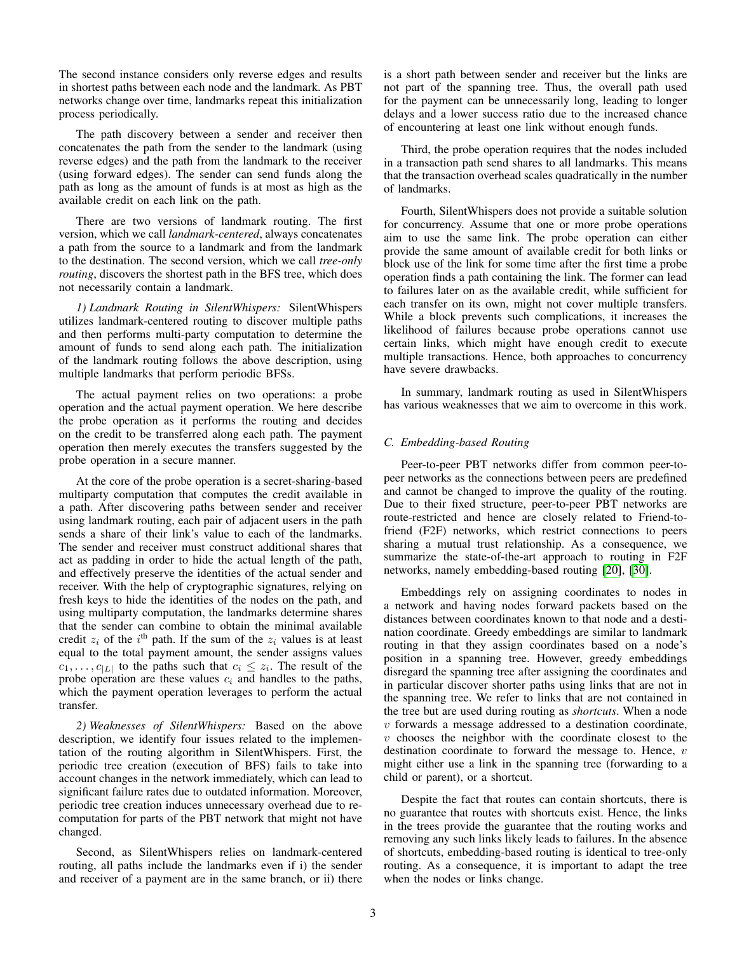The second instance considers only reverse edges and results in shortest paths between each node and the landmark. As PBT networks change over time, landmarks repeat this initialization process periodically.

The path discovery between a sender and receiver then concatenates the path from the sender to the landmark (using reverse edges) and the path from the landmark to the receiver (using forward edges). The sender can send funds along the path as long as the amount of funds is at most as high as the available credit on each link on the path.

There are two versions of landmark routing. The first version, which we call *landmark-centered*, always concatenates a path from the source to a landmark and from the landmark to the destination. The second version, which we call *tree-only routing*, discovers the shortest path in the BFS tree, which does not necessarily contain a landmark.

*1) Landmark Routing in SilentWhispers:* SilentWhispers utilizes landmark-centered routing to discover multiple paths and then performs multi-party computation to determine the amount of funds to send along each path. The initialization of the landmark routing follows the above description, using multiple landmarks that perform periodic BFSs.

The actual payment relies on two operations: a probe operation and the actual payment operation. We here describe the probe operation as it performs the routing and decides on the credit to be transferred along each path. The payment operation then merely executes the transfers suggested by the probe operation in a secure manner.

At the core of the probe operation is a secret-sharing-based multiparty computation that computes the credit available in a path. After discovering paths between sender and receiver using landmark routing, each pair of adjacent users in the path sends a share of their link's value to each of the landmarks. The sender and receiver must construct additional shares that act as padding in order to hide the actual length of the path, and effectively preserve the identities of the actual sender and receiver. With the help of cryptographic signatures, relying on fresh keys to hide the identities of the nodes on the path, and using multiparty computation, the landmarks determine shares that the sender can combine to obtain the minimal available credit  $z_i$  of the i<sup>th</sup> path. If the sum of the  $z_i$  values is at least equal to the total payment amount, the sender assigns values  $c_1, \ldots, c_{|L|}$  to the paths such that  $c_i \leq z_i$ . The result of the probe operation are these values  $c_i$  and handles to the paths, which the payment operation leverages to perform the actual transfer.

*2) Weaknesses of SilentWhispers:* Based on the above description, we identify four issues related to the implementation of the routing algorithm in SilentWhispers. First, the periodic tree creation (execution of BFS) fails to take into account changes in the network immediately, which can lead to significant failure rates due to outdated information. Moreover, periodic tree creation induces unnecessary overhead due to recomputation for parts of the PBT network that might not have changed.

Second, as SilentWhispers relies on landmark-centered routing, all paths include the landmarks even if i) the sender and receiver of a payment are in the same branch, or ii) there is a short path between sender and receiver but the links are not part of the spanning tree. Thus, the overall path used for the payment can be unnecessarily long, leading to longer delays and a lower success ratio due to the increased chance of encountering at least one link without enough funds.

Third, the probe operation requires that the nodes included in a transaction path send shares to all landmarks. This means that the transaction overhead scales quadratically in the number of landmarks.

Fourth, SilentWhispers does not provide a suitable solution for concurrency. Assume that one or more probe operations aim to use the same link. The probe operation can either provide the same amount of available credit for both links or block use of the link for some time after the first time a probe operation finds a path containing the link. The former can lead to failures later on as the available credit, while sufficient for each transfer on its own, might not cover multiple transfers. While a block prevents such complications, it increases the likelihood of failures because probe operations cannot use certain links, which might have enough credit to execute multiple transactions. Hence, both approaches to concurrency have severe drawbacks.

In summary, landmark routing as used in SilentWhispers has various weaknesses that we aim to overcome in this work.

# <span id="page-2-0"></span>*C. Embedding-based Routing*

Peer-to-peer PBT networks differ from common peer-topeer networks as the connections between peers are predefined and cannot be changed to improve the quality of the routing. Due to their fixed structure, peer-to-peer PBT networks are route-restricted and hence are closely related to Friend-tofriend (F2F) networks, which restrict connections to peers sharing a mutual trust relationship. As a consequence, we summarize the state-of-the-art approach to routing in F2F networks, namely embedding-based routing [\[20\]](#page-14-24), [\[30\]](#page-14-23).

Embeddings rely on assigning coordinates to nodes in a network and having nodes forward packets based on the distances between coordinates known to that node and a destination coordinate. Greedy embeddings are similar to landmark routing in that they assign coordinates based on a node's position in a spanning tree. However, greedy embeddings disregard the spanning tree after assigning the coordinates and in particular discover shorter paths using links that are not in the spanning tree. We refer to links that are not contained in the tree but are used during routing as *shortcuts*. When a node v forwards a message addressed to a destination coordinate,  $v$  chooses the neighbor with the coordinate closest to the destination coordinate to forward the message to. Hence, v might either use a link in the spanning tree (forwarding to a child or parent), or a shortcut.

Despite the fact that routes can contain shortcuts, there is no guarantee that routes with shortcuts exist. Hence, the links in the trees provide the guarantee that the routing works and removing any such links likely leads to failures. In the absence of shortcuts, embedding-based routing is identical to tree-only routing. As a consequence, it is important to adapt the tree when the nodes or links change.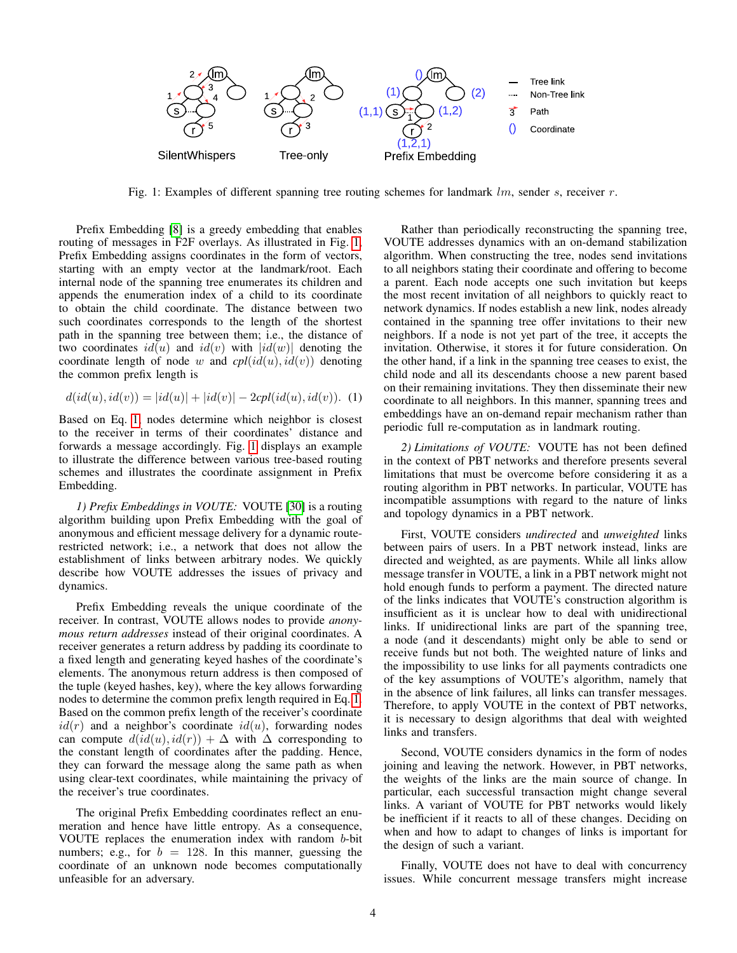<span id="page-3-0"></span>

Fig. 1: Examples of different spanning tree routing schemes for landmark  $lm$ , sender s, receiver  $r$ .

Prefix Embedding [\[8\]](#page-14-26) is a greedy embedding that enables routing of messages in F2F overlays. As illustrated in Fig. [1,](#page-3-0) Prefix Embedding assigns coordinates in the form of vectors, starting with an empty vector at the landmark/root. Each internal node of the spanning tree enumerates its children and appends the enumeration index of a child to its coordinate to obtain the child coordinate. The distance between two such coordinates corresponds to the length of the shortest path in the spanning tree between them; i.e., the distance of two coordinates  $id(u)$  and  $id(v)$  with  $|id(w)|$  denoting the coordinate length of node w and  $cpl(id(u), id(v))$  denoting the common prefix length is

$$
d(id(u), id(v)) = |id(u)| + |id(v)| - 2 \text{cpl}(id(u), id(v)). \tag{1}
$$

Based on Eq. [1,](#page-3-1) nodes determine which neighbor is closest to the receiver in terms of their coordinates' distance and forwards a message accordingly. Fig. [1](#page-3-0) displays an example to illustrate the difference between various tree-based routing schemes and illustrates the coordinate assignment in Prefix Embedding.

*1) Prefix Embeddings in VOUTE:* VOUTE [\[30\]](#page-14-23) is a routing algorithm building upon Prefix Embedding with the goal of anonymous and efficient message delivery for a dynamic routerestricted network; i.e., a network that does not allow the establishment of links between arbitrary nodes. We quickly describe how VOUTE addresses the issues of privacy and dynamics.

Prefix Embedding reveals the unique coordinate of the receiver. In contrast, VOUTE allows nodes to provide *anonymous return addresses* instead of their original coordinates. A receiver generates a return address by padding its coordinate to a fixed length and generating keyed hashes of the coordinate's elements. The anonymous return address is then composed of the tuple (keyed hashes, key), where the key allows forwarding nodes to determine the common prefix length required in Eq. [1.](#page-3-1) Based on the common prefix length of the receiver's coordinate  $id(r)$  and a neighbor's coordinate  $id(u)$ , forwarding nodes can compute  $d(id(u), id(r)) + \Delta$  with  $\Delta$  corresponding to the constant length of coordinates after the padding. Hence, they can forward the message along the same path as when using clear-text coordinates, while maintaining the privacy of the receiver's true coordinates.

The original Prefix Embedding coordinates reflect an enumeration and hence have little entropy. As a consequence, VOUTE replaces the enumeration index with random b-bit numbers; e.g., for  $b = 128$ . In this manner, guessing the coordinate of an unknown node becomes computationally unfeasible for an adversary.

Rather than periodically reconstructing the spanning tree, VOUTE addresses dynamics with an on-demand stabilization algorithm. When constructing the tree, nodes send invitations to all neighbors stating their coordinate and offering to become a parent. Each node accepts one such invitation but keeps the most recent invitation of all neighbors to quickly react to network dynamics. If nodes establish a new link, nodes already contained in the spanning tree offer invitations to their new neighbors. If a node is not yet part of the tree, it accepts the invitation. Otherwise, it stores it for future consideration. On the other hand, if a link in the spanning tree ceases to exist, the child node and all its descendants choose a new parent based on their remaining invitations. They then disseminate their new coordinate to all neighbors. In this manner, spanning trees and embeddings have an on-demand repair mechanism rather than periodic full re-computation as in landmark routing.

<span id="page-3-1"></span>*2) Limitations of VOUTE:* VOUTE has not been defined in the context of PBT networks and therefore presents several limitations that must be overcome before considering it as a routing algorithm in PBT networks. In particular, VOUTE has incompatible assumptions with regard to the nature of links and topology dynamics in a PBT network.

First, VOUTE considers *undirected* and *unweighted* links between pairs of users. In a PBT network instead, links are directed and weighted, as are payments. While all links allow message transfer in VOUTE, a link in a PBT network might not hold enough funds to perform a payment. The directed nature of the links indicates that VOUTE's construction algorithm is insufficient as it is unclear how to deal with unidirectional links. If unidirectional links are part of the spanning tree, a node (and it descendants) might only be able to send or receive funds but not both. The weighted nature of links and the impossibility to use links for all payments contradicts one of the key assumptions of VOUTE's algorithm, namely that in the absence of link failures, all links can transfer messages. Therefore, to apply VOUTE in the context of PBT networks, it is necessary to design algorithms that deal with weighted links and transfers.

Second, VOUTE considers dynamics in the form of nodes joining and leaving the network. However, in PBT networks, the weights of the links are the main source of change. In particular, each successful transaction might change several links. A variant of VOUTE for PBT networks would likely be inefficient if it reacts to all of these changes. Deciding on when and how to adapt to changes of links is important for the design of such a variant.

Finally, VOUTE does not have to deal with concurrency issues. While concurrent message transfers might increase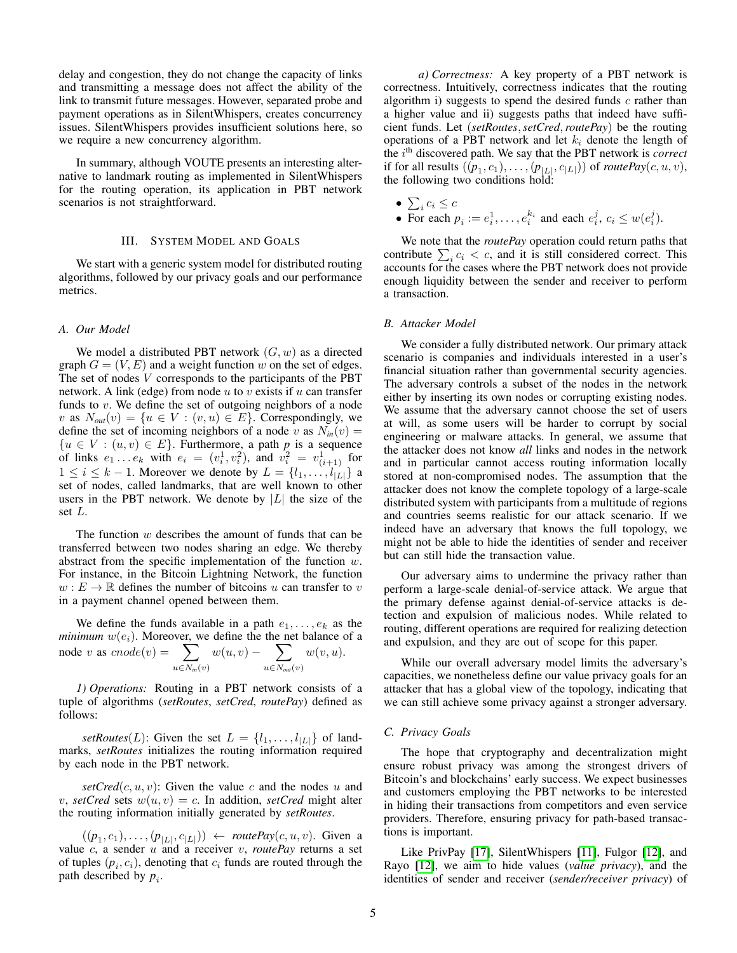delay and congestion, they do not change the capacity of links and transmitting a message does not affect the ability of the link to transmit future messages. However, separated probe and payment operations as in SilentWhispers, creates concurrency issues. SilentWhispers provides insufficient solutions here, so we require a new concurrency algorithm.

In summary, although VOUTE presents an interesting alternative to landmark routing as implemented in SilentWhispers for the routing operation, its application in PBT network scenarios is not straightforward.

#### III. SYSTEM MODEL AND GOALS

<span id="page-4-0"></span>We start with a generic system model for distributed routing algorithms, followed by our privacy goals and our performance metrics.

## *A. Our Model*

We model a distributed PBT network  $(G, w)$  as a directed graph  $G = (V, E)$  and a weight function w on the set of edges. The set of nodes  $V$  corresponds to the participants of the PBT network. A link (edge) from node  $u$  to  $v$  exists if  $u$  can transfer funds to  $v$ . We define the set of outgoing neighbors of a node v as  $N_{out}(v) = \{u \in V : (v, u) \in E\}$ . Correspondingly, we define the set of incoming neighbors of a node v as  $N_{in}(v)$  =  ${u \in V : (u, v) \in E}.$  Furthermore, a path p is a sequence of links  $e_1 \nvert e_k$  with  $e_i = (v_i^1, v_i^2)$ , and  $v_i^2 = v_{(i+1)}^1$  for  $1 \leq i \leq k-1$ . Moreover we denote by  $L = \{l_1, \ldots, l_{|L|}\}\$ a set of nodes, called landmarks, that are well known to other users in the PBT network. We denote by  $|L|$  the size of the set L.

The function  $w$  describes the amount of funds that can be transferred between two nodes sharing an edge. We thereby abstract from the specific implementation of the function w. For instance, in the Bitcoin Lightning Network, the function  $w : E \to \mathbb{R}$  defines the number of bitcoins u can transfer to v in a payment channel opened between them.

We define the funds available in a path  $e_1, \ldots, e_k$  as the  $minimum$   $w(e_i)$ . Moreover, we define the the net balance of a node v as  $cnode(v) = \sum$  $u \in N_{in}(v)$  $w(u, v)$  –  $\sum$  $u \in N_{out}(v)$  $w(v, u)$ .

*1) Operations:* Routing in a PBT network consists of a tuple of algorithms (*setRoutes*, *setCred*, *routePay*) defined as follows:

*setRoutes*(*L*): Given the set  $L = \{l_1, \ldots, l_{|L|}\}\$  of landmarks, *setRoutes* initializes the routing information required by each node in the PBT network.

 $setCred(c, u, v)$ : Given the value c and the nodes u and v, setCred sets  $w(u, v) = c$ . In addition, setCred might alter the routing information initially generated by *setRoutes*.

 $((p_1, c_1), \ldots, (p_{|L|}, c_{|L|})) \leftarrow \textit{routePay}(c, u, v)$ . Given a value  $c$ , a sender  $u$  and a receiver  $v$ , *routePay* returns a set of tuples  $(p_i, c_i)$ , denoting that  $c_i$  funds are routed through the path described by  $p_i$ .

*a) Correctness:* A key property of a PBT network is correctness. Intuitively, correctness indicates that the routing algorithm i) suggests to spend the desired funds  $c$  rather than a higher value and ii) suggests paths that indeed have sufficient funds. Let (*setRoutes*,*setCred*,*routePay*) be the routing operations of a PBT network and let  $k_i$  denote the length of the i<sup>th</sup> discovered path. We say that the PBT network is *correct* if for all results  $((p_1, c_1), \ldots, (p_{|L|}, c_{|L|}))$  of *routePay* $(c, u, v)$ , the following two conditions hold:

- $\bullet\ \sum_i c_i \leq c$
- For each  $p_i := e_i^1, \dots, e_i^{k_i}$  and each  $e_i^j, c_i \leq w(e_i^j)$ .

We note that the *routePay* operation could return paths that contribute  $\sum_i c_i < c$ , and it is still considered correct. This accounts for the cases where the PBT network does not provide enough liquidity between the sender and receiver to perform a transaction.

## *B. Attacker Model*

We consider a fully distributed network. Our primary attack scenario is companies and individuals interested in a user's financial situation rather than governmental security agencies. The adversary controls a subset of the nodes in the network either by inserting its own nodes or corrupting existing nodes. We assume that the adversary cannot choose the set of users at will, as some users will be harder to corrupt by social engineering or malware attacks. In general, we assume that the attacker does not know *all* links and nodes in the network and in particular cannot access routing information locally stored at non-compromised nodes. The assumption that the attacker does not know the complete topology of a large-scale distributed system with participants from a multitude of regions and countries seems realistic for our attack scenario. If we indeed have an adversary that knows the full topology, we might not be able to hide the identities of sender and receiver but can still hide the transaction value.

Our adversary aims to undermine the privacy rather than perform a large-scale denial-of-service attack. We argue that the primary defense against denial-of-service attacks is detection and expulsion of malicious nodes. While related to routing, different operations are required for realizing detection and expulsion, and they are out of scope for this paper.

While our overall adversary model limits the adversary's capacities, we nonetheless define our value privacy goals for an attacker that has a global view of the topology, indicating that we can still achieve some privacy against a stronger adversary.

## <span id="page-4-1"></span>*C. Privacy Goals*

The hope that cryptography and decentralization might ensure robust privacy was among the strongest drivers of Bitcoin's and blockchains' early success. We expect businesses and customers employing the PBT networks to be interested in hiding their transactions from competitors and even service providers. Therefore, ensuring privacy for path-based transactions is important.

Like PrivPay [\[17\]](#page-14-21), SilentWhispers [\[11\]](#page-14-16), Fulgor [\[12\]](#page-14-27), and Rayo [\[12\]](#page-14-27), we aim to hide values (*value privacy*), and the identities of sender and receiver (*sender/receiver privacy*) of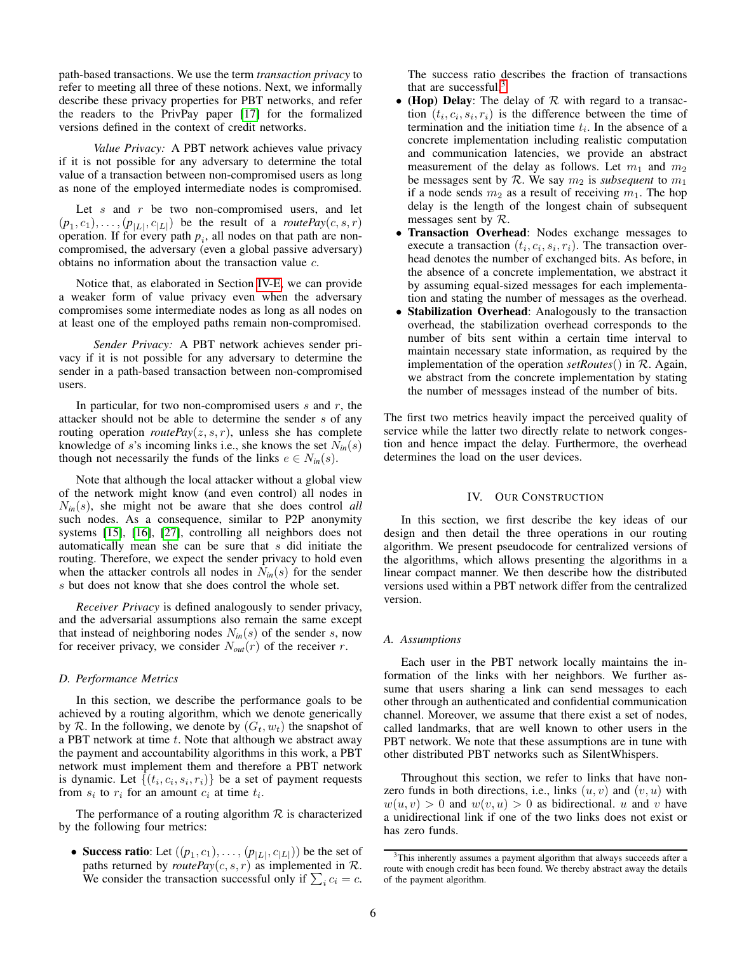path-based transactions. We use the term *transaction privacy* to refer to meeting all three of these notions. Next, we informally describe these privacy properties for PBT networks, and refer the readers to the PrivPay paper [\[17\]](#page-14-21) for the formalized versions defined in the context of credit networks.

*Value Privacy:* A PBT network achieves value privacy if it is not possible for any adversary to determine the total value of a transaction between non-compromised users as long as none of the employed intermediate nodes is compromised.

Let  $s$  and  $r$  be two non-compromised users, and let  $(p_1, c_1), \ldots, (p_{|L|}, c_{|L|})$  be the result of a *routePay(c, s, r)* operation. If for every path  $p_i$ , all nodes on that path are noncompromised, the adversary (even a global passive adversary) obtains no information about the transaction value c.

Notice that, as elaborated in Section [IV-E,](#page-8-0) we can provide a weaker form of value privacy even when the adversary compromises some intermediate nodes as long as all nodes on at least one of the employed paths remain non-compromised.

*Sender Privacy:* A PBT network achieves sender privacy if it is not possible for any adversary to determine the sender in a path-based transaction between non-compromised users.

In particular, for two non-compromised users  $s$  and  $r$ , the attacker should not be able to determine the sender s of any routing operation *routePay* $(z, s, r)$ , unless she has complete knowledge of s's incoming links i.e., she knows the set  $N_{in}(s)$ though not necessarily the funds of the links  $e \in N_{in}(s)$ .

Note that although the local attacker without a global view of the network might know (and even control) all nodes in N*in*(s), she might not be aware that she does control *all* such nodes. As a consequence, similar to P2P anonymity systems [\[15\]](#page-14-28), [\[16\]](#page-14-29), [\[27\]](#page-14-30), controlling all neighbors does not automatically mean she can be sure that s did initiate the routing. Therefore, we expect the sender privacy to hold even when the attacker controls all nodes in  $N_{in}(s)$  for the sender s but does not know that she does control the whole set.

*Receiver Privacy* is defined analogously to sender privacy, and the adversarial assumptions also remain the same except that instead of neighboring nodes  $N_{in}(s)$  of the sender s, now for receiver privacy, we consider  $N_{out}(r)$  of the receiver r.

# *D. Performance Metrics*

In this section, we describe the performance goals to be achieved by a routing algorithm, which we denote generically by R. In the following, we denote by  $(G_t, w_t)$  the snapshot of a PBT network at time  $t$ . Note that although we abstract away the payment and accountability algorithms in this work, a PBT network must implement them and therefore a PBT network is dynamic. Let  $\{(t_i, c_i, s_i, r_i)\}$  be a set of payment requests from  $s_i$  to  $r_i$  for an amount  $c_i$  at time  $t_i$ .

The performance of a routing algorithm  $R$  is characterized by the following four metrics:

• Success ratio: Let  $((p_1, c_1), \ldots, (p_{|L|}, c_{|L|}))$  be the set of paths returned by *routePay*( $c, s, r$ ) as implemented in  $\mathcal{R}$ . We consider the transaction successful only if  $\sum_i c_i = c$ . The success ratio describes the fraction of transactions that are successful.[3](#page-5-1)

- (Hop) Delay: The delay of  $R$  with regard to a transaction  $(t_i, c_i, s_i, r_i)$  is the difference between the time of termination and the initiation time  $t_i$ . In the absence of a concrete implementation including realistic computation and communication latencies, we provide an abstract measurement of the delay as follows. Let  $m_1$  and  $m_2$ be messages sent by R. We say  $m_2$  is *subsequent* to  $m_1$ if a node sends  $m_2$  as a result of receiving  $m_1$ . The hop delay is the length of the longest chain of subsequent messages sent by  $R$ .
- Transaction Overhead: Nodes exchange messages to execute a transaction  $(t_i, c_i, s_i, r_i)$ . The transaction overhead denotes the number of exchanged bits. As before, in the absence of a concrete implementation, we abstract it by assuming equal-sized messages for each implementation and stating the number of messages as the overhead.
- Stabilization Overhead: Analogously to the transaction overhead, the stabilization overhead corresponds to the number of bits sent within a certain time interval to maintain necessary state information, as required by the implementation of the operation *setRoutes*() in R. Again, we abstract from the concrete implementation by stating the number of messages instead of the number of bits.

The first two metrics heavily impact the perceived quality of service while the latter two directly relate to network congestion and hence impact the delay. Furthermore, the overhead determines the load on the user devices.

# IV. OUR CONSTRUCTION

<span id="page-5-0"></span>In this section, we first describe the key ideas of our design and then detail the three operations in our routing algorithm. We present pseudocode for centralized versions of the algorithms, which allows presenting the algorithms in a linear compact manner. We then describe how the distributed versions used within a PBT network differ from the centralized version.

# *A. Assumptions*

Each user in the PBT network locally maintains the information of the links with her neighbors. We further assume that users sharing a link can send messages to each other through an authenticated and confidential communication channel. Moreover, we assume that there exist a set of nodes, called landmarks, that are well known to other users in the PBT network. We note that these assumptions are in tune with other distributed PBT networks such as SilentWhispers.

Throughout this section, we refer to links that have nonzero funds in both directions, i.e., links  $(u, v)$  and  $(v, u)$  with  $w(u, v) > 0$  and  $w(v, u) > 0$  as bidirectional. u and v have a unidirectional link if one of the two links does not exist or has zero funds.

<span id="page-5-1"></span><sup>&</sup>lt;sup>3</sup>This inherently assumes a payment algorithm that always succeeds after a route with enough credit has been found. We thereby abstract away the details of the payment algorithm.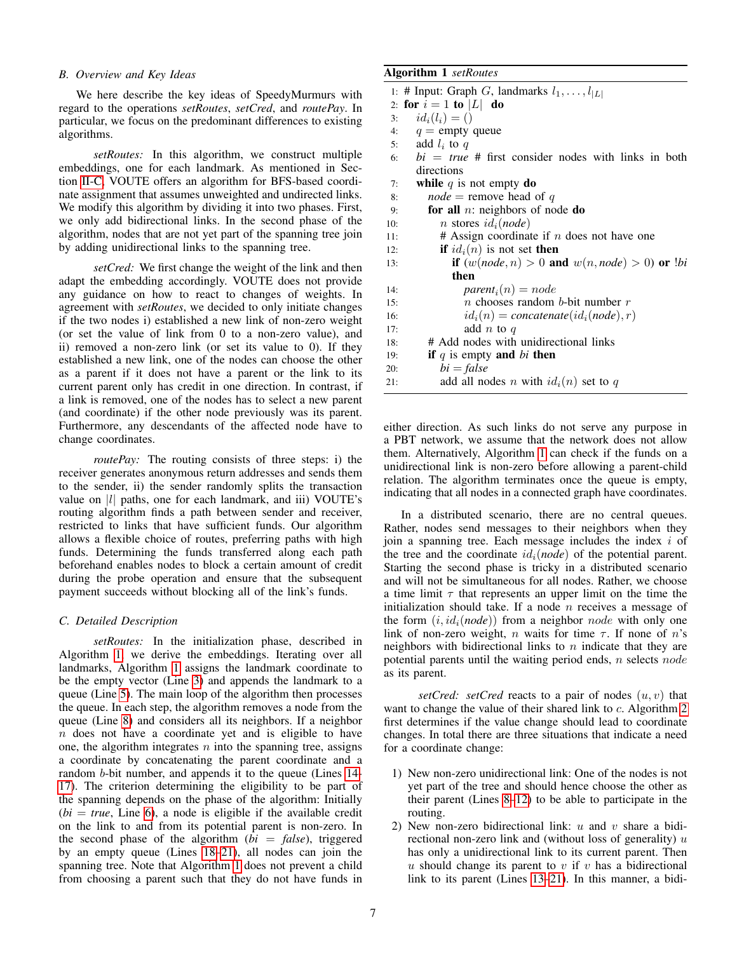# *B. Overview and Key Ideas*

We here describe the key ideas of SpeedyMurmurs with regard to the operations *setRoutes*, *setCred*, and *routePay*. In particular, we focus on the predominant differences to existing algorithms.

*setRoutes:* In this algorithm, we construct multiple embeddings, one for each landmark. As mentioned in Section [II-C,](#page-2-0) VOUTE offers an algorithm for BFS-based coordinate assignment that assumes unweighted and undirected links. We modify this algorithm by dividing it into two phases. First, we only add bidirectional links. In the second phase of the algorithm, nodes that are not yet part of the spanning tree join by adding unidirectional links to the spanning tree.

*setCred:* We first change the weight of the link and then adapt the embedding accordingly. VOUTE does not provide any guidance on how to react to changes of weights. In agreement with *setRoutes*, we decided to only initiate changes if the two nodes i) established a new link of non-zero weight (or set the value of link from 0 to a non-zero value), and ii) removed a non-zero link (or set its value to 0). If they established a new link, one of the nodes can choose the other as a parent if it does not have a parent or the link to its current parent only has credit in one direction. In contrast, if a link is removed, one of the nodes has to select a new parent (and coordinate) if the other node previously was its parent. Furthermore, any descendants of the affected node have to change coordinates.

*routePay:* The routing consists of three steps: i) the receiver generates anonymous return addresses and sends them to the sender, ii) the sender randomly splits the transaction value on  $|l|$  paths, one for each landmark, and iii) VOUTE's routing algorithm finds a path between sender and receiver, restricted to links that have sufficient funds. Our algorithm allows a flexible choice of routes, preferring paths with high funds. Determining the funds transferred along each path beforehand enables nodes to block a certain amount of credit during the probe operation and ensure that the subsequent payment succeeds without blocking all of the link's funds.

## *C. Detailed Description*

*setRoutes:* In the initialization phase, described in Algorithm [1,](#page-6-0) we derive the embeddings. Iterating over all landmarks, Algorithm [1](#page-6-0) assigns the landmark coordinate to be the empty vector (Line [3\)](#page-6-1) and appends the landmark to a queue (Line [5\)](#page-6-2). The main loop of the algorithm then processes the queue. In each step, the algorithm removes a node from the queue (Line [8\)](#page-6-3) and considers all its neighbors. If a neighbor  $n$  does not have a coordinate yet and is eligible to have one, the algorithm integrates  $n$  into the spanning tree, assigns a coordinate by concatenating the parent coordinate and a random b-bit number, and appends it to the queue (Lines [14-](#page-6-4) [17\)](#page-6-5). The criterion determining the eligibility to be part of the spanning depends on the phase of the algorithm: Initially  $(bi = true,$  Line [6\)](#page-6-6), a node is eligible if the available credit on the link to and from its potential parent is non-zero. In the second phase of the algorithm  $(bi = false)$ , triggered by an empty queue (Lines [18](#page-6-7)[–21\)](#page-6-8), all nodes can join the spanning tree. Note that Algorithm [1](#page-6-0) does not prevent a child from choosing a parent such that they do not have funds in

# <span id="page-6-0"></span>Algorithm 1 *setRoutes*

<span id="page-6-6"></span><span id="page-6-3"></span><span id="page-6-2"></span><span id="page-6-1"></span>

|     | 1: # Input: Graph G, landmarks $l_1, \ldots, l_{ L }$ |  |  |  |  |  |
|-----|-------------------------------------------------------|--|--|--|--|--|
|     | 2: for $i = 1$ to $ L $ do                            |  |  |  |  |  |
| 3:  | $id_i(l_i) = ()$                                      |  |  |  |  |  |
|     | 4: $q =$ empty queue                                  |  |  |  |  |  |
|     | 5: add $l_i$ to q                                     |  |  |  |  |  |
| 6:  | $bi = true$ # first consider nodes with links in both |  |  |  |  |  |
|     | directions                                            |  |  |  |  |  |
| 7:  | while $q$ is not empty do                             |  |  |  |  |  |
| 8:  | <i>node</i> = remove head of q                        |  |  |  |  |  |
| 9:  | for all $n$ : neighbors of node do                    |  |  |  |  |  |
| 10: | <i>n</i> stores $id_i(node)$                          |  |  |  |  |  |
| 11: | # Assign coordinate if $n$ does not have one          |  |  |  |  |  |
| 12: | <b>if</b> $id_i(n)$ is not set <b>then</b>            |  |  |  |  |  |
| 13: | if $(w(node, n) > 0$ and $w(n, node) > 0$ or $!bi$    |  |  |  |  |  |
|     | then                                                  |  |  |  |  |  |
| 14: | $parent_i(n) = node$                                  |  |  |  |  |  |
| 15: | <i>n</i> chooses random <i>b</i> -bit number $r$      |  |  |  |  |  |
| 16: | $id_i(n) = concatenate(id_i(node), r)$                |  |  |  |  |  |
| 17: | add $n$ to $q$                                        |  |  |  |  |  |
| 18: | # Add nodes with unidirectional links                 |  |  |  |  |  |
| 19: | if q is empty and bi then                             |  |  |  |  |  |
| 20: | $bi = false$                                          |  |  |  |  |  |
| 21: | add all nodes n with $id_i(n)$ set to q               |  |  |  |  |  |
|     |                                                       |  |  |  |  |  |

<span id="page-6-8"></span><span id="page-6-7"></span><span id="page-6-5"></span><span id="page-6-4"></span>either direction. As such links do not serve any purpose in a PBT network, we assume that the network does not allow them. Alternatively, Algorithm [1](#page-6-0) can check if the funds on a unidirectional link is non-zero before allowing a parent-child relation. The algorithm terminates once the queue is empty, indicating that all nodes in a connected graph have coordinates.

In a distributed scenario, there are no central queues. Rather, nodes send messages to their neighbors when they join a spanning tree. Each message includes the index i of the tree and the coordinate  $id_i(node)$  of the potential parent. Starting the second phase is tricky in a distributed scenario and will not be simultaneous for all nodes. Rather, we choose a time limit  $\tau$  that represents an upper limit on the time the initialization should take. If a node  $n$  receives a message of the form  $(i, id_i(node))$  from a neighbor *node* with only one link of non-zero weight, *n* waits for time  $\tau$ . If none of *n*'s neighbors with bidirectional links to  $n$  indicate that they are potential parents until the waiting period ends, n selects node as its parent.

*setCred: setCred* reacts to a pair of nodes  $(u, v)$  that want to change the value of their shared link to c. Algorithm [2](#page-7-0) first determines if the value change should lead to coordinate changes. In total there are three situations that indicate a need for a coordinate change:

- 1) New non-zero unidirectional link: One of the nodes is not yet part of the tree and should hence choose the other as their parent (Lines [8–](#page-7-1)[12\)](#page-7-2) to be able to participate in the routing.
- 2) New non-zero bidirectional link:  $u$  and  $v$  share a bidirectional non-zero link and (without loss of generality)  $u$ has only a unidirectional link to its current parent. Then u should change its parent to  $v$  if  $v$  has a bidirectional link to its parent (Lines [13](#page-7-3)[–21\)](#page-7-4). In this manner, a bidi-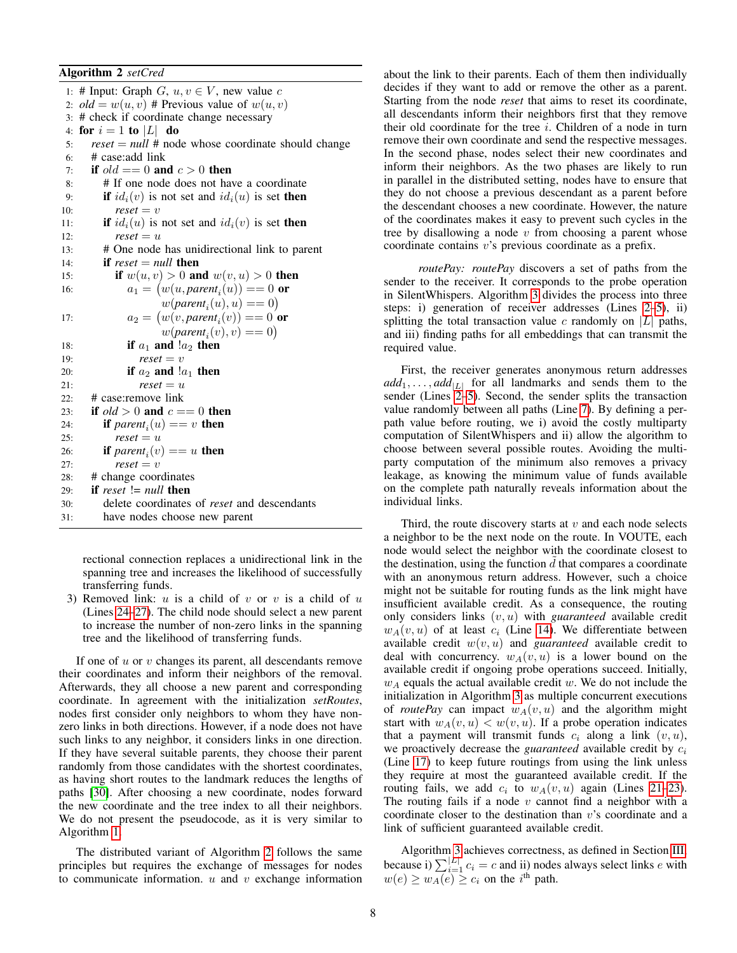# <span id="page-7-0"></span>Algorithm 2 *setCred*

<span id="page-7-3"></span><span id="page-7-2"></span><span id="page-7-1"></span>1: # Input: Graph  $G, u, v \in V$ , new value c 2:  $old = w(u, v)$  # Previous value of  $w(u, v)$ 3: # check if coordinate change necessary 4: for  $i = 1$  to  $|L|$  do 5: *reset* = *null* # node whose coordinate should change 6: # case:add link 7: if  $old == 0$  and  $c > 0$  then 8: # If one node does not have a coordinate 9: **if**  $id_i(v)$  is not set and  $id_i(u)$  is set then 10:  $\qquad \qquad \text{reset} = v$ 11: **if**  $id_i(u)$  is not set and  $id_i(v)$  is set **then** 12:  $\qquad$   $\qquad$   $\qquad$   $\qquad$   $\qquad$   $\qquad$   $\qquad$   $\qquad$   $\qquad$   $\qquad$   $\qquad$   $\qquad$   $\qquad$   $\qquad$   $\qquad$   $\qquad$   $\qquad$   $\qquad$   $\qquad$   $\qquad$   $\qquad$   $\qquad$   $\qquad$   $\qquad$   $\qquad$   $\qquad$   $\qquad$   $\qquad$   $\qquad$   $\qquad$   $\qquad$   $\qquad$   $\qquad$   $\qquad$   $\qquad$   $\qquad$  13: # One node has unidirectional link to parent 14: **if**  $reset = null$  then 15: **if**  $w(u, v) > 0$  and  $w(v, u) > 0$  then 16:  $a_1 = (w(u, parent_i(u)) == 0 \text{ or }$  $w(\text{parent}_i(u), u) == 0)$ 17:  $a_2 = (w(v, parent_i(v)) == 0)$  or  $w(\text{parent}_i(v), v) == 0)$ 18: if  $a_1$  and  $a_2$  then 19:  $\qquad$   $\qquad$   $\qquad$   $\qquad$   $\qquad$   $\qquad$   $\qquad$   $\qquad$   $\qquad$   $\qquad$   $\qquad$   $\qquad$   $\qquad$   $\qquad$   $\qquad$   $\qquad$   $\qquad$   $\qquad$   $\qquad$   $\qquad$   $\qquad$   $\qquad$   $\qquad$   $\qquad$   $\qquad$   $\qquad$   $\qquad$   $\qquad$   $\qquad$   $\qquad$   $\qquad$   $\qquad$   $\qquad$   $\qquad$   $\qquad$   $\qquad$  20: **if**  $a_2$  **and**  $a_1$  **then** 21:  $\qquad \qquad \text{reset} = u$ 22: # case:remove link 23: if  $\partial d > 0$  and  $c == 0$  then 24: **if**  $parent_i(u) == v$  **then** 25:  $\qquad$   $\qquad$   $\qquad$   $\qquad$   $\qquad$   $\qquad$   $\qquad$   $\qquad$   $\qquad$   $\qquad$   $\qquad$   $\qquad$   $\qquad$   $\qquad$   $\qquad$   $\qquad$   $\qquad$   $\qquad$   $\qquad$   $\qquad$   $\qquad$   $\qquad$   $\qquad$   $\qquad$   $\qquad$   $\qquad$   $\qquad$   $\qquad$   $\qquad$   $\qquad$   $\qquad$   $\qquad$   $\qquad$   $\qquad$   $\qquad$   $\qquad$  26: **if**  $parent_i(v) == u$  **then** 27:  $\qquad$   $\qquad$   $\qquad$   $\qquad$   $\qquad$   $\qquad$   $\qquad$   $\qquad$   $\qquad$   $\qquad$   $\qquad$   $\qquad$   $\qquad$   $\qquad$   $\qquad$   $\qquad$   $\qquad$   $\qquad$   $\qquad$   $\qquad$   $\qquad$   $\qquad$   $\qquad$   $\qquad$   $\qquad$   $\qquad$   $\qquad$   $\qquad$   $\qquad$   $\qquad$   $\qquad$   $\qquad$   $\qquad$   $\qquad$   $\qquad$   $\qquad$  28: # change coordinates 29: if *reset* != *null* then 30: delete coordinates of *reset* and descendants 31: have nodes choose new parent

<span id="page-7-6"></span><span id="page-7-5"></span><span id="page-7-4"></span>rectional connection replaces a unidirectional link in the spanning tree and increases the likelihood of successfully transferring funds.

3) Removed link:  $u$  is a child of  $v$  or  $v$  is a child of  $u$ (Lines [24](#page-7-5)[–27\)](#page-7-6). The child node should select a new parent to increase the number of non-zero links in the spanning tree and the likelihood of transferring funds.

If one of  $u$  or  $v$  changes its parent, all descendants remove their coordinates and inform their neighbors of the removal. Afterwards, they all choose a new parent and corresponding coordinate. In agreement with the initialization *setRoutes*, nodes first consider only neighbors to whom they have nonzero links in both directions. However, if a node does not have such links to any neighbor, it considers links in one direction. If they have several suitable parents, they choose their parent randomly from those candidates with the shortest coordinates, as having short routes to the landmark reduces the lengths of paths [\[30\]](#page-14-23). After choosing a new coordinate, nodes forward the new coordinate and the tree index to all their neighbors. We do not present the pseudocode, as it is very similar to Algorithm [1.](#page-6-0)

The distributed variant of Algorithm [2](#page-7-0) follows the same principles but requires the exchange of messages for nodes to communicate information.  $u$  and  $v$  exchange information about the link to their parents. Each of them then individually decides if they want to add or remove the other as a parent. Starting from the node *reset* that aims to reset its coordinate, all descendants inform their neighbors first that they remove their old coordinate for the tree  $i$ . Children of a node in turn remove their own coordinate and send the respective messages. In the second phase, nodes select their new coordinates and inform their neighbors. As the two phases are likely to run in parallel in the distributed setting, nodes have to ensure that they do not choose a previous descendant as a parent before the descendant chooses a new coordinate. However, the nature of the coordinates makes it easy to prevent such cycles in the tree by disallowing a node  $v$  from choosing a parent whose coordinate contains v's previous coordinate as a prefix.

*routePay: routePay* discovers a set of paths from the sender to the receiver. It corresponds to the probe operation in SilentWhispers. Algorithm [3](#page-8-1) divides the process into three steps: i) generation of receiver addresses (Lines [2](#page-8-2)[–5\)](#page-8-3), ii) splitting the total transaction value c randomly on  $|L|$  paths, and iii) finding paths for all embeddings that can transmit the required value.

First, the receiver generates anonymous return addresses  $add_1, \ldots, add_{|L|}$  for all landmarks and sends them to the sender (Lines [2–](#page-8-2)[5\)](#page-8-3). Second, the sender splits the transaction value randomly between all paths (Line [7\)](#page-8-4). By defining a perpath value before routing, we i) avoid the costly multiparty computation of SilentWhispers and ii) allow the algorithm to choose between several possible routes. Avoiding the multiparty computation of the minimum also removes a privacy leakage, as knowing the minimum value of funds available on the complete path naturally reveals information about the individual links.

Third, the route discovery starts at  $v$  and each node selects a neighbor to be the next node on the route. In VOUTE, each node would select the neighbor with the coordinate closest to the destination, using the function  $d$  that compares a coordinate with an anonymous return address. However, such a choice might not be suitable for routing funds as the link might have insufficient available credit. As a consequence, the routing only considers links (v, u) with *guaranteed* available credit  $w_A(v, u)$  of at least  $c_i$  (Line [14\)](#page-8-5). We differentiate between available credit  $w(v, u)$  and *guaranteed* available credit to deal with concurrency.  $w_A(v, u)$  is a lower bound on the available credit if ongoing probe operations succeed. Initially,  $w_A$  equals the actual available credit w. We do not include the initialization in Algorithm [3](#page-8-1) as multiple concurrent executions of *routePay* can impact  $w_A(v, u)$  and the algorithm might start with  $w_A(v, u) < w(v, u)$ . If a probe operation indicates that a payment will transmit funds  $c_i$  along a link  $(v, u)$ , we proactively decrease the *guaranteed* available credit by  $c_i$ (Line [17\)](#page-8-6) to keep future routings from using the link unless they require at most the guaranteed available credit. If the routing fails, we add  $c_i$  to  $w_A(v, u)$  again (Lines [21](#page-8-7)[–23\)](#page-8-8). The routing fails if a node  $v$  cannot find a neighbor with a coordinate closer to the destination than v's coordinate and a link of sufficient guaranteed available credit.

Algorithm [3](#page-8-1) achieves correctness, as defined in Section [III,](#page-4-0) because i)  $\sum_{i=1}^{|L|} c_i = c$  and ii) nodes always select links e with  $w(e) \geq w_A(e) \geq c_i$  on the i<sup>th</sup> path.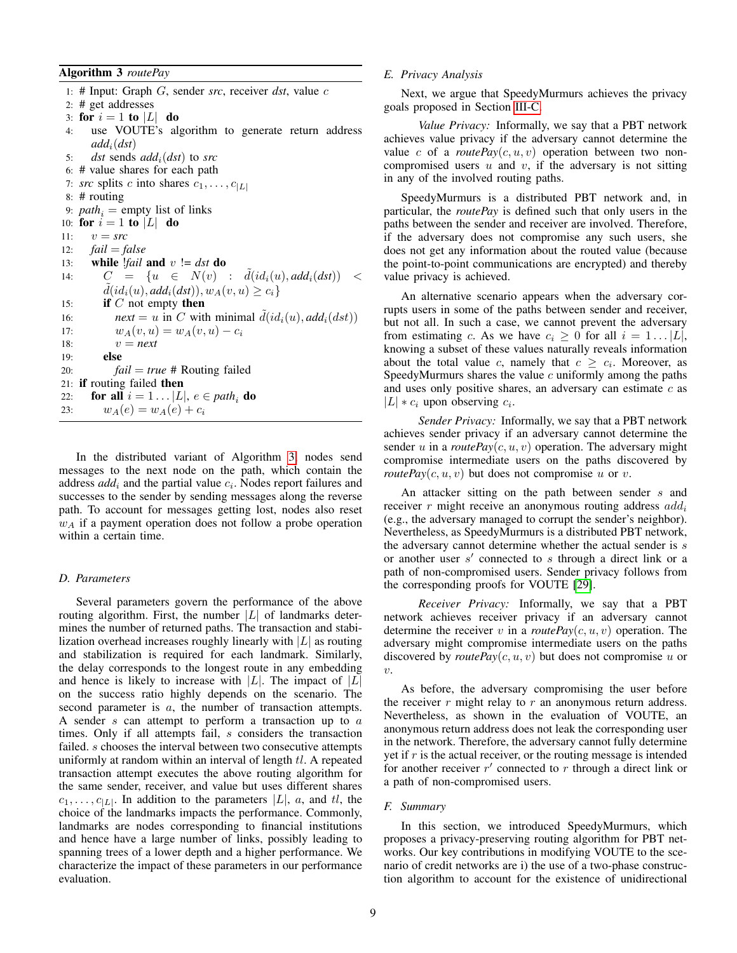<span id="page-8-1"></span>Algorithm 3 *routePay*

<span id="page-8-3"></span>1: # Input: Graph G, sender *src*, receiver *dst*, value c 2: # get addresses 3: for  $i = 1$  to  $|L|$  do 4: use VOUTE's algorithm to generate return address  $add_i(ds)$ 5: *dst* sends *add*i(*dst*) to *src* 6: # value shares for each path 7: *src* splits c into shares  $c_1, \ldots, c_{|L|}$ 8: # routing 9:  $path_i = \text{empty}$  list of links 10: for  $i = 1$  to  $|L|$  do 11:  $v = src$ 12: *fail* = *false* 13: **while** *!fail* **and**  $v := \text{dst}$  **do** 14:  $C = \{u \in N(v) : \tilde{d}(id_i(u), add_i(dst)) \leq$  $\tilde{d}(id_i(u), add_i(dst)), w_A(v, u) \geq c_i\}$ 15: **if**  $C$  not empty **then** 16: *next* = u in C with minimal  $\tilde{d}(id_i(u), add_i(dst))$ 17:  $w_A(v, u) = w_A(v, u) - c_i$ 18:  $v = next$ 19: else 20: *fail* = *true* # Routing failed 21: if routing failed then 22: **for all**  $i = 1...|L|, e \in path_i$  **do**<br>23:  $w_A(e) = w_A(e) + c_i$  $w_A(e) = w_A(e) + c_i$ 

<span id="page-8-8"></span><span id="page-8-7"></span><span id="page-8-5"></span>In the distributed variant of Algorithm [3,](#page-8-1) nodes send messages to the next node on the path, which contain the address  $add_i$  and the partial value  $c_i$ . Nodes report failures and successes to the sender by sending messages along the reverse path. To account for messages getting lost, nodes also reset  $w_A$  if a payment operation does not follow a probe operation within a certain time.

## *D. Parameters*

Several parameters govern the performance of the above routing algorithm. First, the number  $|L|$  of landmarks determines the number of returned paths. The transaction and stabilization overhead increases roughly linearly with  $|L|$  as routing and stabilization is required for each landmark. Similarly, the delay corresponds to the longest route in any embedding and hence is likely to increase with  $|L|$ . The impact of  $|L|$ on the success ratio highly depends on the scenario. The second parameter is a, the number of transaction attempts. A sender  $s$  can attempt to perform a transaction up to  $a$ times. Only if all attempts fail, s considers the transaction failed. *s* chooses the interval between two consecutive attempts uniformly at random within an interval of length  $tl$ . A repeated transaction attempt executes the above routing algorithm for the same sender, receiver, and value but uses different shares  $c_1, \ldots, c_{|L|}$ . In addition to the parameters  $|L|$ , a, and tl, the choice of the landmarks impacts the performance. Commonly, landmarks are nodes corresponding to financial institutions and hence have a large number of links, possibly leading to spanning trees of a lower depth and a higher performance. We characterize the impact of these parameters in our performance evaluation.

## <span id="page-8-0"></span>*E. Privacy Analysis*

<span id="page-8-2"></span>Next, we argue that SpeedyMurmurs achieves the privacy goals proposed in Section [III-C.](#page-4-1)

*Value Privacy:* Informally, we say that a PBT network achieves value privacy if the adversary cannot determine the value c of a *routePay(c, u, v)* operation between two noncompromised users  $u$  and  $v$ , if the adversary is not sitting in any of the involved routing paths.

<span id="page-8-4"></span>SpeedyMurmurs is a distributed PBT network and, in particular, the *routePay* is defined such that only users in the paths between the sender and receiver are involved. Therefore, if the adversary does not compromise any such users, she does not get any information about the routed value (because the point-to-point communications are encrypted) and thereby value privacy is achieved.

<span id="page-8-6"></span>An alternative scenario appears when the adversary corrupts users in some of the paths between sender and receiver, but not all. In such a case, we cannot prevent the adversary from estimating c. As we have  $c_i \geq 0$  for all  $i = 1 \dots |L|$ , knowing a subset of these values naturally reveals information about the total value c, namely that  $c \geq c_i$ . Moreover, as SpeedyMurmurs shares the value  $c$  uniformly among the paths and uses only positive shares, an adversary can estimate  $c$  as  $|L| * c_i$  upon observing  $c_i$ .

*Sender Privacy:* Informally, we say that a PBT network achieves sender privacy if an adversary cannot determine the sender u in a *routePay(c, u, v)* operation. The adversary might compromise intermediate users on the paths discovered by *routePay*( $c, u, v$ ) but does not compromise u or v.

An attacker sitting on the path between sender s and receiver  $r$  might receive an anonymous routing address  $add_i$ (e.g., the adversary managed to corrupt the sender's neighbor). Nevertheless, as SpeedyMurmurs is a distributed PBT network, the adversary cannot determine whether the actual sender is s or another user  $s'$  connected to  $s$  through a direct link or a path of non-compromised users. Sender privacy follows from the corresponding proofs for VOUTE [\[29\]](#page-14-31).

*Receiver Privacy:* Informally, we say that a PBT network achieves receiver privacy if an adversary cannot determine the receiver v in a *routePay(c, u, v)* operation. The adversary might compromise intermediate users on the paths discovered by *routePay(c, u, v)* but does not compromise u or v.

As before, the adversary compromising the user before the receiver  $r$  might relay to  $r$  an anonymous return address. Nevertheless, as shown in the evaluation of VOUTE, an anonymous return address does not leak the corresponding user in the network. Therefore, the adversary cannot fully determine yet if  $r$  is the actual receiver, or the routing message is intended for another receiver  $r'$  connected to  $r$  through a direct link or a path of non-compromised users.

## *F. Summary*

In this section, we introduced SpeedyMurmurs, which proposes a privacy-preserving routing algorithm for PBT networks. Our key contributions in modifying VOUTE to the scenario of credit networks are i) the use of a two-phase construction algorithm to account for the existence of unidirectional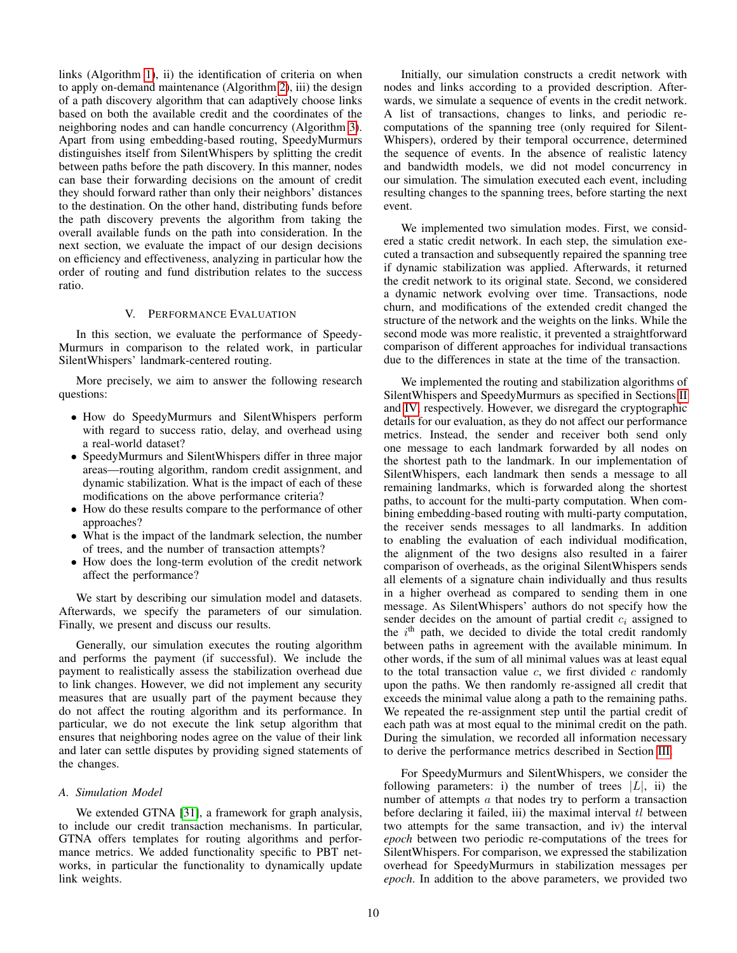links (Algorithm [1\)](#page-6-0), ii) the identification of criteria on when to apply on-demand maintenance (Algorithm [2\)](#page-7-0), iii) the design of a path discovery algorithm that can adaptively choose links based on both the available credit and the coordinates of the neighboring nodes and can handle concurrency (Algorithm [3\)](#page-8-1). Apart from using embedding-based routing, SpeedyMurmurs distinguishes itself from SilentWhispers by splitting the credit between paths before the path discovery. In this manner, nodes can base their forwarding decisions on the amount of credit they should forward rather than only their neighbors' distances to the destination. On the other hand, distributing funds before the path discovery prevents the algorithm from taking the overall available funds on the path into consideration. In the next section, we evaluate the impact of our design decisions on efficiency and effectiveness, analyzing in particular how the order of routing and fund distribution relates to the success ratio.

## V. PERFORMANCE EVALUATION

In this section, we evaluate the performance of Speedy-Murmurs in comparison to the related work, in particular SilentWhispers' landmark-centered routing.

More precisely, we aim to answer the following research questions:

- How do SpeedyMurmurs and SilentWhispers perform with regard to success ratio, delay, and overhead using a real-world dataset?
- SpeedyMurmurs and SilentWhispers differ in three major areas—routing algorithm, random credit assignment, and dynamic stabilization. What is the impact of each of these modifications on the above performance criteria?
- How do these results compare to the performance of other approaches?
- What is the impact of the landmark selection, the number of trees, and the number of transaction attempts?
- How does the long-term evolution of the credit network affect the performance?

We start by describing our simulation model and datasets. Afterwards, we specify the parameters of our simulation. Finally, we present and discuss our results.

Generally, our simulation executes the routing algorithm and performs the payment (if successful). We include the payment to realistically assess the stabilization overhead due to link changes. However, we did not implement any security measures that are usually part of the payment because they do not affect the routing algorithm and its performance. In particular, we do not execute the link setup algorithm that ensures that neighboring nodes agree on the value of their link and later can settle disputes by providing signed statements of the changes.

## *A. Simulation Model*

We extended GTNA [\[31\]](#page-14-32), a framework for graph analysis, to include our credit transaction mechanisms. In particular, GTNA offers templates for routing algorithms and performance metrics. We added functionality specific to PBT networks, in particular the functionality to dynamically update link weights.

Initially, our simulation constructs a credit network with nodes and links according to a provided description. Afterwards, we simulate a sequence of events in the credit network. A list of transactions, changes to links, and periodic recomputations of the spanning tree (only required for Silent-Whispers), ordered by their temporal occurrence, determined the sequence of events. In the absence of realistic latency and bandwidth models, we did not model concurrency in our simulation. The simulation executed each event, including resulting changes to the spanning trees, before starting the next event.

We implemented two simulation modes. First, we considered a static credit network. In each step, the simulation executed a transaction and subsequently repaired the spanning tree if dynamic stabilization was applied. Afterwards, it returned the credit network to its original state. Second, we considered a dynamic network evolving over time. Transactions, node churn, and modifications of the extended credit changed the structure of the network and the weights on the links. While the second mode was more realistic, it prevented a straightforward comparison of different approaches for individual transactions due to the differences in state at the time of the transaction.

We implemented the routing and stabilization algorithms of SilentWhispers and SpeedyMurmurs as specified in Sections [II](#page-1-1) and [IV,](#page-5-0) respectively. However, we disregard the cryptographic details for our evaluation, as they do not affect our performance metrics. Instead, the sender and receiver both send only one message to each landmark forwarded by all nodes on the shortest path to the landmark. In our implementation of SilentWhispers, each landmark then sends a message to all remaining landmarks, which is forwarded along the shortest paths, to account for the multi-party computation. When combining embedding-based routing with multi-party computation, the receiver sends messages to all landmarks. In addition to enabling the evaluation of each individual modification, the alignment of the two designs also resulted in a fairer comparison of overheads, as the original SilentWhispers sends all elements of a signature chain individually and thus results in a higher overhead as compared to sending them in one message. As SilentWhispers' authors do not specify how the sender decides on the amount of partial credit  $c_i$  assigned to the  $i<sup>th</sup>$  path, we decided to divide the total credit randomly between paths in agreement with the available minimum. In other words, if the sum of all minimal values was at least equal to the total transaction value  $c$ , we first divided  $c$  randomly upon the paths. We then randomly re-assigned all credit that exceeds the minimal value along a path to the remaining paths. We repeated the re-assignment step until the partial credit of each path was at most equal to the minimal credit on the path. During the simulation, we recorded all information necessary to derive the performance metrics described in Section [III.](#page-4-0)

For SpeedyMurmurs and SilentWhispers, we consider the following parameters: i) the number of trees  $|L|$ , ii) the number of attempts a that nodes try to perform a transaction before declaring it failed, iii) the maximal interval  $tl$  between two attempts for the same transaction, and iv) the interval *epoch* between two periodic re-computations of the trees for SilentWhispers. For comparison, we expressed the stabilization overhead for SpeedyMurmurs in stabilization messages per *epoch*. In addition to the above parameters, we provided two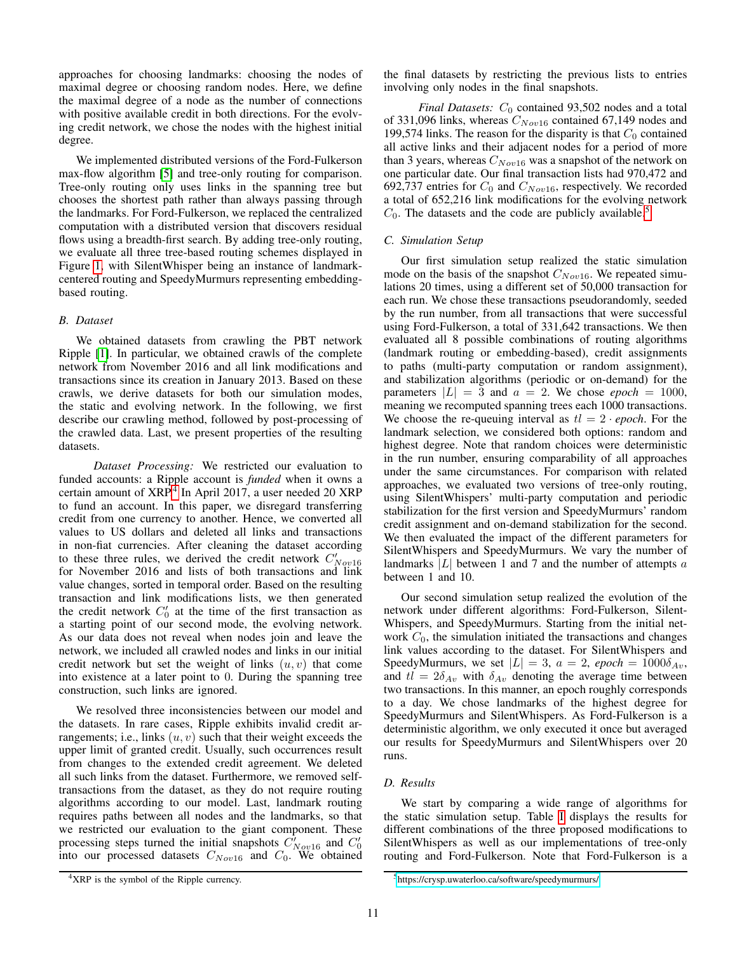approaches for choosing landmarks: choosing the nodes of maximal degree or choosing random nodes. Here, we define the maximal degree of a node as the number of connections with positive available credit in both directions. For the evolving credit network, we chose the nodes with the highest initial degree.

We implemented distributed versions of the Ford-Fulkerson max-flow algorithm [\[5\]](#page-14-33) and tree-only routing for comparison. Tree-only routing only uses links in the spanning tree but chooses the shortest path rather than always passing through the landmarks. For Ford-Fulkerson, we replaced the centralized computation with a distributed version that discovers residual flows using a breadth-first search. By adding tree-only routing, we evaluate all three tree-based routing schemes displayed in Figure [1,](#page-3-0) with SilentWhisper being an instance of landmarkcentered routing and SpeedyMurmurs representing embeddingbased routing.

#### *B. Dataset*

We obtained datasets from crawling the PBT network Ripple [\[1\]](#page-14-3). In particular, we obtained crawls of the complete network from November 2016 and all link modifications and transactions since its creation in January 2013. Based on these crawls, we derive datasets for both our simulation modes, the static and evolving network. In the following, we first describe our crawling method, followed by post-processing of the crawled data. Last, we present properties of the resulting datasets.

*Dataset Processing:* We restricted our evaluation to funded accounts: a Ripple account is *funded* when it owns a certain amount of XRP.<sup>[4](#page-10-0)</sup> In April 2017, a user needed 20 XRP to fund an account. In this paper, we disregard transferring credit from one currency to another. Hence, we converted all values to US dollars and deleted all links and transactions in non-fiat currencies. After cleaning the dataset according to these three rules, we derived the credit network  $C'_{Nov16}$ for November 2016 and lists of both transactions and link value changes, sorted in temporal order. Based on the resulting transaction and link modifications lists, we then generated the credit network  $C'_0$  at the time of the first transaction as a starting point of our second mode, the evolving network. As our data does not reveal when nodes join and leave the network, we included all crawled nodes and links in our initial credit network but set the weight of links  $(u, v)$  that come into existence at a later point to 0. During the spanning tree construction, such links are ignored.

We resolved three inconsistencies between our model and the datasets. In rare cases, Ripple exhibits invalid credit arrangements; i.e., links  $(u, v)$  such that their weight exceeds the upper limit of granted credit. Usually, such occurrences result from changes to the extended credit agreement. We deleted all such links from the dataset. Furthermore, we removed selftransactions from the dataset, as they do not require routing algorithms according to our model. Last, landmark routing requires paths between all nodes and the landmarks, so that we restricted our evaluation to the giant component. These processing steps turned the initial snapshots  $C_{Nov16}^{\prime}$  and  $C_0^{\prime}$  into our processed datasets  $C_{Nov16}$  and  $C_0$ . We obtained

the final datasets by restricting the previous lists to entries involving only nodes in the final snapshots.

*Final Datasets:*  $C_0$  contained 93,502 nodes and a total of 331,096 links, whereas  $C_{Nov16}$  contained 67,149 nodes and 199,574 links. The reason for the disparity is that  $C_0$  contained all active links and their adjacent nodes for a period of more than 3 years, whereas  $C_{Nov16}$  was a snapshot of the network on one particular date. Our final transaction lists had 970,472 and 692,737 entries for  $C_0$  and  $C_{Nov16}$ , respectively. We recorded a total of 652,216 link modifications for the evolving network  $C_0$ . The datasets and the code are publicly available.<sup>[5](#page-10-1)</sup>

## *C. Simulation Setup*

Our first simulation setup realized the static simulation mode on the basis of the snapshot  $C_{Nov16}$ . We repeated simulations 20 times, using a different set of 50,000 transaction for each run. We chose these transactions pseudorandomly, seeded by the run number, from all transactions that were successful using Ford-Fulkerson, a total of 331,642 transactions. We then evaluated all 8 possible combinations of routing algorithms (landmark routing or embedding-based), credit assignments to paths (multi-party computation or random assignment), and stabilization algorithms (periodic or on-demand) for the parameters  $|L| = 3$  and  $a = 2$ . We chose *epoch* = 1000, meaning we recomputed spanning trees each 1000 transactions. We choose the re-queuing interval as  $tl = 2 \cdot epoch$ . For the landmark selection, we considered both options: random and highest degree. Note that random choices were deterministic in the run number, ensuring comparability of all approaches under the same circumstances. For comparison with related approaches, we evaluated two versions of tree-only routing, using SilentWhispers' multi-party computation and periodic stabilization for the first version and SpeedyMurmurs' random credit assignment and on-demand stabilization for the second. We then evaluated the impact of the different parameters for SilentWhispers and SpeedyMurmurs. We vary the number of landmarks  $|L|$  between 1 and 7 and the number of attempts a between 1 and 10.

Our second simulation setup realized the evolution of the network under different algorithms: Ford-Fulkerson, Silent-Whispers, and SpeedyMurmurs. Starting from the initial network  $C_0$ , the simulation initiated the transactions and changes link values according to the dataset. For SilentWhispers and SpeedyMurmurs, we set  $|L| = 3$ ,  $a = 2$ , *epoch* = 1000 $\delta_{Av}$ , and  $tl = 2\delta_{Av}$  with  $\delta_{Av}$  denoting the average time between two transactions. In this manner, an epoch roughly corresponds to a day. We chose landmarks of the highest degree for SpeedyMurmurs and SilentWhispers. As Ford-Fulkerson is a deterministic algorithm, we only executed it once but averaged our results for SpeedyMurmurs and SilentWhispers over 20 runs.

# *D. Results*

We start by comparing a wide range of algorithms for the static simulation setup. Table [I](#page-11-0) displays the results for different combinations of the three proposed modifications to SilentWhispers as well as our implementations of tree-only routing and Ford-Fulkerson. Note that Ford-Fulkerson is a

<span id="page-10-0"></span><sup>&</sup>lt;sup>4</sup>XRP is the symbol of the Ripple currency.

<span id="page-10-1"></span><sup>5</sup><https://crysp.uwaterloo.ca/software/speedymurmurs/>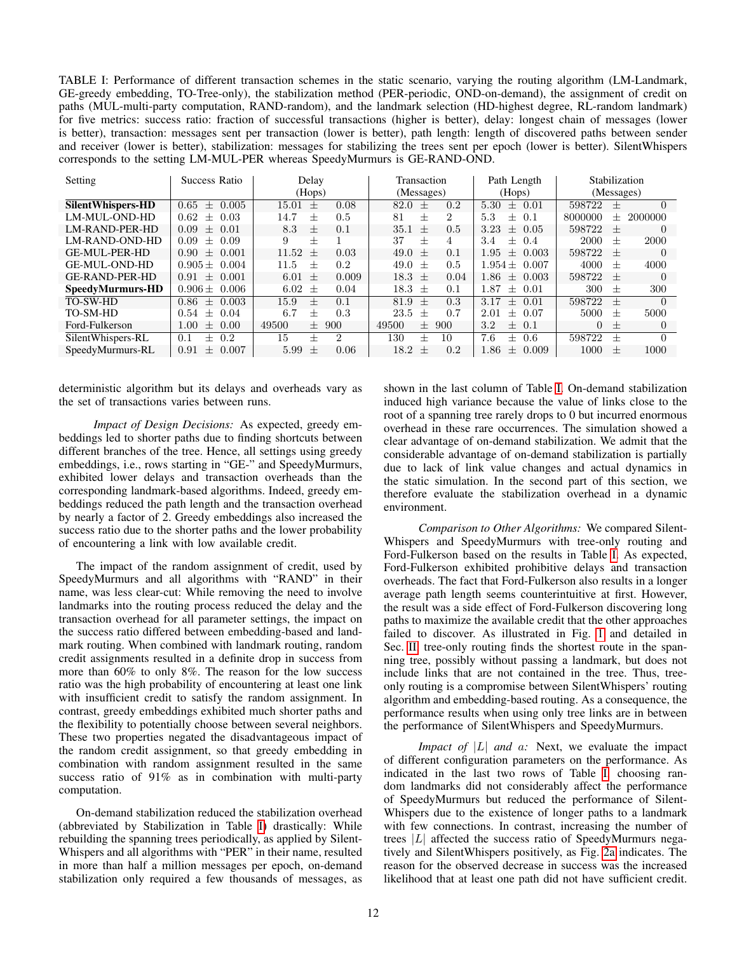<span id="page-11-0"></span>TABLE I: Performance of different transaction schemes in the static scenario, varying the routing algorithm (LM-Landmark, GE-greedy embedding, TO-Tree-only), the stabilization method (PER-periodic, OND-on-demand), the assignment of credit on paths (MUL-multi-party computation, RAND-random), and the landmark selection (HD-highest degree, RL-random landmark) for five metrics: success ratio: fraction of successful transactions (higher is better), delay: longest chain of messages (lower is better), transaction: messages sent per transaction (lower is better), path length: length of discovered paths between sender and receiver (lower is better), stabilization: messages for stabilizing the trees sent per epoch (lower is better). SilentWhispers corresponds to the setting LM-MUL-PER whereas SpeedyMurmurs is GE-RAND-OND.

| Setting               | Success Ratio                  | Delay<br>(Hops)         | Transaction<br>(Messages) | Path Length<br>(Hops)   | Stabilization<br>(Messages)    |
|-----------------------|--------------------------------|-------------------------|---------------------------|-------------------------|--------------------------------|
| Silent Whispers-HD    | 0.005<br>0.65<br>$^{+}$        | 15.01<br>0.08<br>$^{+}$ | 0.2<br>$82.0 \pm 1$       | $5.30 \pm 0.01$         | $\Omega$<br>598722<br>$^{+}$   |
| LM-MUL-OND-HD         | 0.62<br>0.03<br>$^{+}$         | 0.5<br>14.7<br>$^+$     | 2<br>$^{+}$<br>81         | 5.3<br>0.1<br>$+$       | 8000000<br>-2000000<br>$^{+}$  |
| LM-RAND-PER-HD        | $+$ 0.01<br>0.09               | 0.1<br>8.3<br>$^{+}$    | 0.5<br>35.1<br>$^{+}$     | 3.23<br>$\pm$ 0.05      | 598722<br>$\Omega$<br>$^{+}$   |
| LM-RAND-OND-HD        | 0.09<br>0.09<br>$+$            | 9<br>$^{+}$             | 37<br>$^{+}$<br>4         | 3.4<br>0.4<br>$+$       | 2000<br>2000<br>$^{+}$         |
| <b>GE-MUL-PER-HD</b>  | $+$ 0.001<br>0.90 <sub>1</sub> | 11.52<br>0.03<br>$^{+}$ | 49.0<br>0.1<br>$^{+}$     | 1.95<br>$+$ 0.003       | 598722<br>$\Omega$<br>$^{+}$   |
| <b>GE-MUL-OND-HD</b>  | $0.905 \pm 0.004$              | 0.2<br>11.5<br>$^+$     | 49.0<br>0.5<br>$^{+}$     | $1.954 \pm 0.007$       | 4000<br>4000<br>$^{+}$         |
| <b>GE-RAND-PER-HD</b> | $+$ 0.001<br>0.91              | 0.009<br>$6.01 +$       | 0.04<br>$18.3 +$          | 1.86<br>0.003<br>$+$    | 598722<br>$\Omega$<br>$^{+}$   |
| SpeedyMurmurs-HD      | $0.906 \pm 0.006$              | 6.02 $\pm$<br>0.04      | 18.3 $\pm$<br>0.1         | 1.87<br>$\pm$ 0.01      | 300<br>300<br>$^{+}$           |
| <b>TO-SW-HD</b>       | 0.003<br>0.86<br>$^{+}$        | 0.1<br>15.9<br>$^{+}$   | 0.3<br>81.9<br>$^{+}$     | 3.17<br>0.01<br>$^{+}$  | 598722<br>$\Omega$<br>$^{+}$   |
| TO-SM-HD              | 0.04<br>0.54<br>$^{+}$         | 0.3<br>6.7<br>$^{+}$    | 0.7<br>23.5<br>$^{+}$     | 2.01<br>$+$ 0.07        | 5000<br>5000<br>$\pm$          |
| Ford-Fulkerson        | 0.00<br>1.00<br>$^{+}$         | 49500<br>$\pm$ 900      | 49500<br>900<br>$^{+}$    | 3.2<br>$\pm$ 0.1        | $\Omega$<br>$\Omega$<br>$^{+}$ |
| SilentWhispers-RL     | 0.2<br>0.1<br>$+$              | 15<br>2<br>$^+$         | 130<br>10<br>$^{+}$       | 7.6<br>0.6<br>$+$       | 598722<br>$\Omega$<br>$^{+}$   |
| SpeedyMurmurs-RL      | 0.007<br>0.91<br>$+$           | 5.99<br>0.06<br>$^{+}$  | 18.2<br>0.2<br>$^{+}$     | 0.009<br>1.86<br>$^{+}$ | 1000<br>1000<br>$^{+}$         |

deterministic algorithm but its delays and overheads vary as the set of transactions varies between runs.

*Impact of Design Decisions:* As expected, greedy embeddings led to shorter paths due to finding shortcuts between different branches of the tree. Hence, all settings using greedy embeddings, i.e., rows starting in "GE-" and SpeedyMurmurs, exhibited lower delays and transaction overheads than the corresponding landmark-based algorithms. Indeed, greedy embeddings reduced the path length and the transaction overhead by nearly a factor of 2. Greedy embeddings also increased the success ratio due to the shorter paths and the lower probability of encountering a link with low available credit.

The impact of the random assignment of credit, used by SpeedyMurmurs and all algorithms with "RAND" in their name, was less clear-cut: While removing the need to involve landmarks into the routing process reduced the delay and the transaction overhead for all parameter settings, the impact on the success ratio differed between embedding-based and landmark routing. When combined with landmark routing, random credit assignments resulted in a definite drop in success from more than 60% to only 8%. The reason for the low success ratio was the high probability of encountering at least one link with insufficient credit to satisfy the random assignment. In contrast, greedy embeddings exhibited much shorter paths and the flexibility to potentially choose between several neighbors. These two properties negated the disadvantageous impact of the random credit assignment, so that greedy embedding in combination with random assignment resulted in the same success ratio of 91% as in combination with multi-party computation.

On-demand stabilization reduced the stabilization overhead (abbreviated by Stabilization in Table [I\)](#page-11-0) drastically: While rebuilding the spanning trees periodically, as applied by Silent-Whispers and all algorithms with "PER" in their name, resulted in more than half a million messages per epoch, on-demand stabilization only required a few thousands of messages, as shown in the last column of Table [I.](#page-11-0) On-demand stabilization induced high variance because the value of links close to the root of a spanning tree rarely drops to 0 but incurred enormous overhead in these rare occurrences. The simulation showed a clear advantage of on-demand stabilization. We admit that the considerable advantage of on-demand stabilization is partially due to lack of link value changes and actual dynamics in the static simulation. In the second part of this section, we therefore evaluate the stabilization overhead in a dynamic environment.

*Comparison to Other Algorithms:* We compared Silent-Whispers and SpeedyMurmurs with tree-only routing and Ford-Fulkerson based on the results in Table [I.](#page-11-0) As expected, Ford-Fulkerson exhibited prohibitive delays and transaction overheads. The fact that Ford-Fulkerson also results in a longer average path length seems counterintuitive at first. However, the result was a side effect of Ford-Fulkerson discovering long paths to maximize the available credit that the other approaches failed to discover. As illustrated in Fig. [1](#page-3-0) and detailed in Sec. [II,](#page-1-1) tree-only routing finds the shortest route in the spanning tree, possibly without passing a landmark, but does not include links that are not contained in the tree. Thus, treeonly routing is a compromise between SilentWhispers' routing algorithm and embedding-based routing. As a consequence, the performance results when using only tree links are in between the performance of SilentWhispers and SpeedyMurmurs.

*Impact of* |L| *and* a: Next, we evaluate the impact of different configuration parameters on the performance. As indicated in the last two rows of Table [I,](#page-11-0) choosing random landmarks did not considerably affect the performance of SpeedyMurmurs but reduced the performance of Silent-Whispers due to the existence of longer paths to a landmark with few connections. In contrast, increasing the number of trees  $|L|$  affected the success ratio of SpeedyMurmurs negatively and SilentWhispers positively, as Fig. [2a](#page-12-0) indicates. The reason for the observed decrease in success was the increased likelihood that at least one path did not have sufficient credit.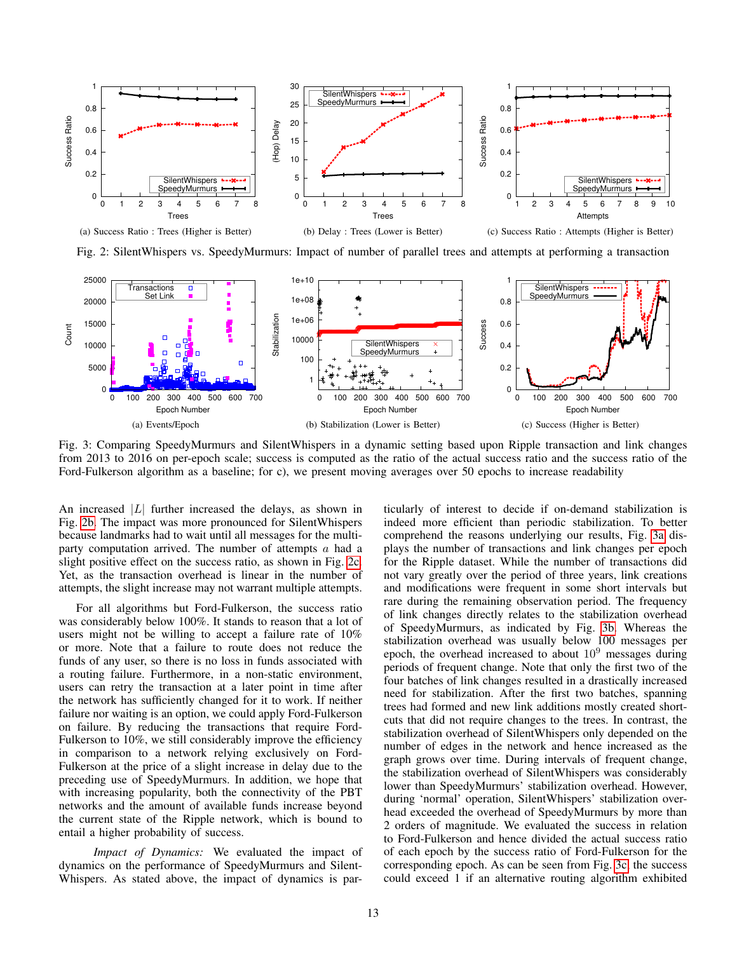<span id="page-12-0"></span>

<span id="page-12-1"></span>Fig. 2: SilentWhispers vs. SpeedyMurmurs: Impact of number of parallel trees and attempts at performing a transaction

<span id="page-12-3"></span>

Fig. 3: Comparing SpeedyMurmurs and SilentWhispers in a dynamic setting based upon Ripple transaction and link changes from 2013 to 2016 on per-epoch scale; success is computed as the ratio of the actual success ratio and the success ratio of the Ford-Fulkerson algorithm as a baseline; for c), we present moving averages over 50 epochs to increase readability

An increased  $|L|$  further increased the delays, as shown in Fig. [2b.](#page-12-1) The impact was more pronounced for SilentWhispers because landmarks had to wait until all messages for the multiparty computation arrived. The number of attempts  $a$  had a slight positive effect on the success ratio, as shown in Fig. [2c.](#page-12-2) Yet, as the transaction overhead is linear in the number of attempts, the slight increase may not warrant multiple attempts.

For all algorithms but Ford-Fulkerson, the success ratio was considerably below 100%. It stands to reason that a lot of users might not be willing to accept a failure rate of 10% or more. Note that a failure to route does not reduce the funds of any user, so there is no loss in funds associated with a routing failure. Furthermore, in a non-static environment, users can retry the transaction at a later point in time after the network has sufficiently changed for it to work. If neither failure nor waiting is an option, we could apply Ford-Fulkerson on failure. By reducing the transactions that require Ford-Fulkerson to 10%, we still considerably improve the efficiency in comparison to a network relying exclusively on Ford-Fulkerson at the price of a slight increase in delay due to the preceding use of SpeedyMurmurs. In addition, we hope that with increasing popularity, both the connectivity of the PBT networks and the amount of available funds increase beyond the current state of the Ripple network, which is bound to entail a higher probability of success.

*Impact of Dynamics:* We evaluated the impact of dynamics on the performance of SpeedyMurmurs and Silent-Whispers. As stated above, the impact of dynamics is par<span id="page-12-5"></span><span id="page-12-4"></span><span id="page-12-2"></span>ticularly of interest to decide if on-demand stabilization is indeed more efficient than periodic stabilization. To better comprehend the reasons underlying our results, Fig. [3a](#page-12-3) displays the number of transactions and link changes per epoch for the Ripple dataset. While the number of transactions did not vary greatly over the period of three years, link creations and modifications were frequent in some short intervals but rare during the remaining observation period. The frequency of link changes directly relates to the stabilization overhead of SpeedyMurmurs, as indicated by Fig. [3b.](#page-12-4) Whereas the stabilization overhead was usually below 100 messages per epoch, the overhead increased to about  $10<sup>9</sup>$  messages during periods of frequent change. Note that only the first two of the four batches of link changes resulted in a drastically increased need for stabilization. After the first two batches, spanning trees had formed and new link additions mostly created shortcuts that did not require changes to the trees. In contrast, the stabilization overhead of SilentWhispers only depended on the number of edges in the network and hence increased as the graph grows over time. During intervals of frequent change, the stabilization overhead of SilentWhispers was considerably lower than SpeedyMurmurs' stabilization overhead. However, during 'normal' operation, SilentWhispers' stabilization overhead exceeded the overhead of SpeedyMurmurs by more than 2 orders of magnitude. We evaluated the success in relation to Ford-Fulkerson and hence divided the actual success ratio of each epoch by the success ratio of Ford-Fulkerson for the corresponding epoch. As can be seen from Fig. [3c,](#page-12-5) the success could exceed 1 if an alternative routing algorithm exhibited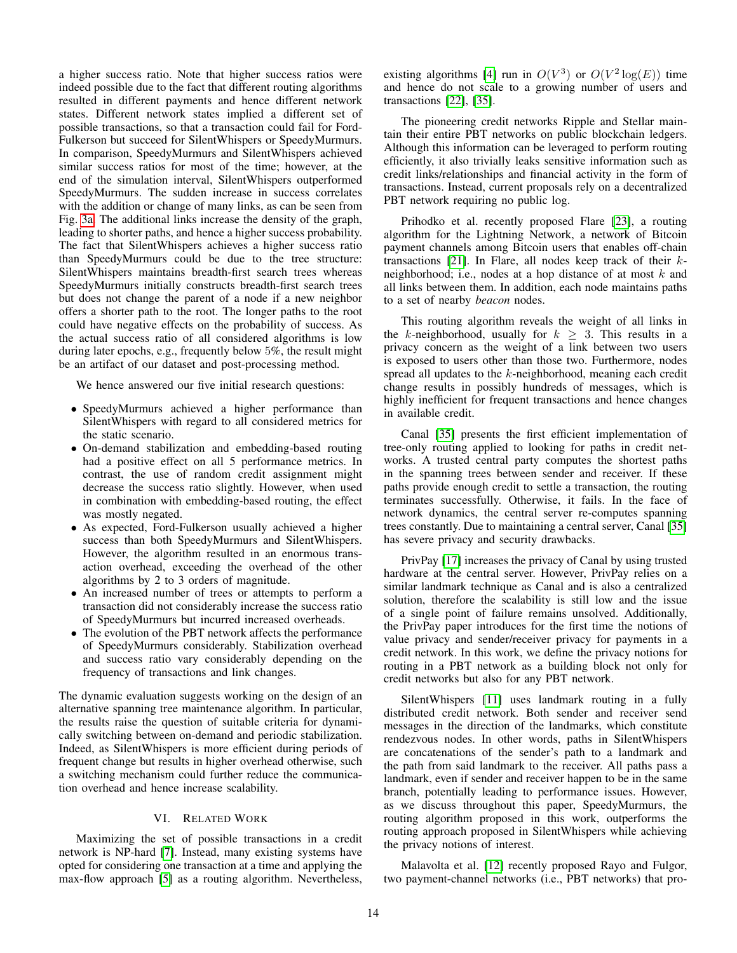a higher success ratio. Note that higher success ratios were indeed possible due to the fact that different routing algorithms resulted in different payments and hence different network states. Different network states implied a different set of possible transactions, so that a transaction could fail for Ford-Fulkerson but succeed for SilentWhispers or SpeedyMurmurs. In comparison, SpeedyMurmurs and SilentWhispers achieved similar success ratios for most of the time; however, at the end of the simulation interval, SilentWhispers outperformed SpeedyMurmurs. The sudden increase in success correlates with the addition or change of many links, as can be seen from Fig. [3a.](#page-12-3) The additional links increase the density of the graph, leading to shorter paths, and hence a higher success probability. The fact that SilentWhispers achieves a higher success ratio than SpeedyMurmurs could be due to the tree structure: SilentWhispers maintains breadth-first search trees whereas SpeedyMurmurs initially constructs breadth-first search trees but does not change the parent of a node if a new neighbor offers a shorter path to the root. The longer paths to the root could have negative effects on the probability of success. As the actual success ratio of all considered algorithms is low during later epochs, e.g., frequently below 5%, the result might be an artifact of our dataset and post-processing method.

We hence answered our five initial research questions:

- SpeedyMurmurs achieved a higher performance than SilentWhispers with regard to all considered metrics for the static scenario.
- On-demand stabilization and embedding-based routing had a positive effect on all 5 performance metrics. In contrast, the use of random credit assignment might decrease the success ratio slightly. However, when used in combination with embedding-based routing, the effect was mostly negated.
- As expected, Ford-Fulkerson usually achieved a higher success than both SpeedyMurmurs and SilentWhispers. However, the algorithm resulted in an enormous transaction overhead, exceeding the overhead of the other algorithms by 2 to 3 orders of magnitude.
- An increased number of trees or attempts to perform a transaction did not considerably increase the success ratio of SpeedyMurmurs but incurred increased overheads.
- The evolution of the PBT network affects the performance of SpeedyMurmurs considerably. Stabilization overhead and success ratio vary considerably depending on the frequency of transactions and link changes.

The dynamic evaluation suggests working on the design of an alternative spanning tree maintenance algorithm. In particular, the results raise the question of suitable criteria for dynamically switching between on-demand and periodic stabilization. Indeed, as SilentWhispers is more efficient during periods of frequent change but results in higher overhead otherwise, such a switching mechanism could further reduce the communication overhead and hence increase scalability.

# VI. RELATED WORK

Maximizing the set of possible transactions in a credit network is NP-hard [\[7\]](#page-14-2). Instead, many existing systems have opted for considering one transaction at a time and applying the max-flow approach [\[5\]](#page-14-33) as a routing algorithm. Nevertheless,

existing algorithms [\[4\]](#page-14-34) run in  $O(V^3)$  or  $O(V^2 \log(E))$  time and hence do not scale to a growing number of users and transactions [\[22\]](#page-14-35), [\[35\]](#page-14-20).

The pioneering credit networks Ripple and Stellar maintain their entire PBT networks on public blockchain ledgers. Although this information can be leveraged to perform routing efficiently, it also trivially leaks sensitive information such as credit links/relationships and financial activity in the form of transactions. Instead, current proposals rely on a decentralized PBT network requiring no public log.

Prihodko et al. recently proposed Flare [\[23\]](#page-14-22), a routing algorithm for the Lightning Network, a network of Bitcoin payment channels among Bitcoin users that enables off-chain transactions [\[21\]](#page-14-9). In Flare, all nodes keep track of their  $k$ neighborhood; i.e., nodes at a hop distance of at most  $k$  and all links between them. In addition, each node maintains paths to a set of nearby *beacon* nodes.

This routing algorithm reveals the weight of all links in the k-neighborhood, usually for  $k \geq 3$ . This results in a privacy concern as the weight of a link between two users is exposed to users other than those two. Furthermore, nodes spread all updates to the k-neighborhood, meaning each credit change results in possibly hundreds of messages, which is highly inefficient for frequent transactions and hence changes in available credit.

Canal [\[35\]](#page-14-20) presents the first efficient implementation of tree-only routing applied to looking for paths in credit networks. A trusted central party computes the shortest paths in the spanning trees between sender and receiver. If these paths provide enough credit to settle a transaction, the routing terminates successfully. Otherwise, it fails. In the face of network dynamics, the central server re-computes spanning trees constantly. Due to maintaining a central server, Canal [\[35\]](#page-14-20) has severe privacy and security drawbacks.

PrivPay [\[17\]](#page-14-21) increases the privacy of Canal by using trusted hardware at the central server. However, PrivPay relies on a similar landmark technique as Canal and is also a centralized solution, therefore the scalability is still low and the issue of a single point of failure remains unsolved. Additionally, the PrivPay paper introduces for the first time the notions of value privacy and sender/receiver privacy for payments in a credit network. In this work, we define the privacy notions for routing in a PBT network as a building block not only for credit networks but also for any PBT network.

SilentWhispers [\[11\]](#page-14-16) uses landmark routing in a fully distributed credit network. Both sender and receiver send messages in the direction of the landmarks, which constitute rendezvous nodes. In other words, paths in SilentWhispers are concatenations of the sender's path to a landmark and the path from said landmark to the receiver. All paths pass a landmark, even if sender and receiver happen to be in the same branch, potentially leading to performance issues. However, as we discuss throughout this paper, SpeedyMurmurs, the routing algorithm proposed in this work, outperforms the routing approach proposed in SilentWhispers while achieving the privacy notions of interest.

Malavolta et al. [\[12\]](#page-14-27) recently proposed Rayo and Fulgor, two payment-channel networks (i.e., PBT networks) that pro